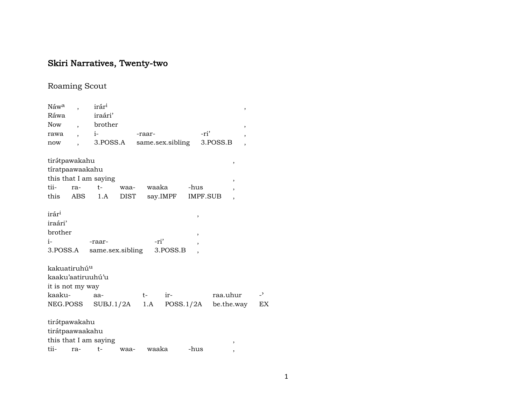# Skiri Narratives, Twenty-two

# Roaming Scout

| $\overline{z}$ |
|----------------|
| EX             |
|                |
|                |
|                |
|                |
|                |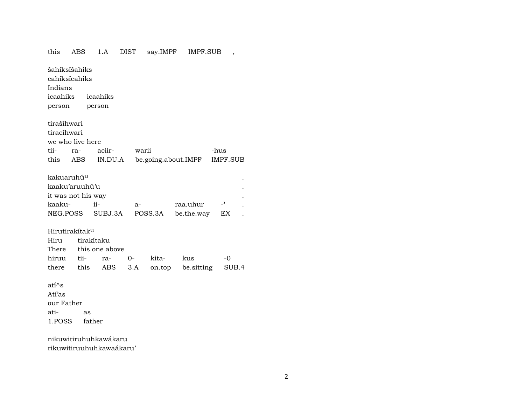## this ABS 1.A DIST say.IMPF IMPF.SUB , šahiksíšahiks cahiksícahiks Indians icaahiks icaahiks person person tirašíhwari tiracíhwari we who live here tii- ra- aciir- warii -hus this ABS IN.DU.A be.going.about.IMPF IMPF.SUB kakuaruhú<sup>u</sup> kaaku'aruuhú'u . it was not his way kaaku- ii- a- raa.uhur -<sup>"</sup> . NEG.POSS SUBJ.3A POSS.3A be.the.way EX . Hirutirakítakµ Hiru tirakítaku There this one above hiruu tii- ra- 0- kita- kus -0 there this ABS 3.A on.top be.sitting SUB.4 atí^s Atí'as our Father ati- as

nikuwitiruhuhkawákaru rikuwitiruuhuhkawaákaru'

1.POSS father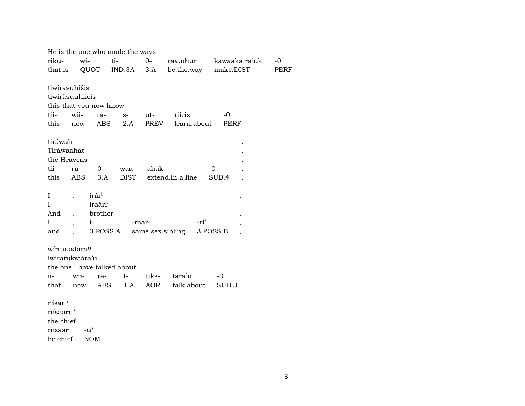|                    |                             |                   | He is the one who made the ways |        |                            |                          |             |
|--------------------|-----------------------------|-------------------|---------------------------------|--------|----------------------------|--------------------------|-------------|
| riku-              | wi-                         |                   | ti-                             | $0-$   | raa.uhur                   | kawaaka.ra'uk            | $-0$        |
| that.is            |                             |                   |                                 |        | QUOT IND.3A 3.A be.the.way | make.DIST                | <b>PERF</b> |
|                    |                             |                   |                                 |        |                            |                          |             |
|                    | tiwirasuhišis               |                   |                                 |        |                            |                          |             |
|                    | tiwirásuuhiicis             |                   |                                 |        |                            |                          |             |
|                    | this that you now know      |                   |                                 |        |                            |                          |             |
| tii-               | wii-                        | ra-               | $S-$                            | ut-    | riicis                     | $-0$                     |             |
| this               | now                         | ABS               | 2.A                             | PREV   | learn.about                | <b>PERF</b>              |             |
| tiráwah            |                             |                   |                                 |        |                            |                          |             |
| Tiráwaahat         |                             |                   |                                 |        |                            |                          |             |
|                    | the Heavens                 |                   |                                 |        |                            |                          |             |
| tii-               | ra-                         | $0-$              | waa-                            | ahak   |                            | $-0$                     |             |
| this               | ABS                         | 3.A               | <b>DIST</b>                     |        | extend.in.a.line           | SUB.4                    |             |
|                    |                             |                   |                                 |        |                            |                          |             |
| $\bf{I}$           | $\overline{ }$              | irár <sup>i</sup> |                                 |        |                            | ,                        |             |
| I                  |                             | iraári'           |                                 |        |                            |                          |             |
| And                | $\ddot{\phantom{0}}$        | brother           |                                 |        |                            | $\overline{\phantom{a}}$ |             |
| i                  |                             | $i$ -             |                                 | -raar- | -ri'                       |                          |             |
| and                | $\ddot{\phantom{0}}$        | 3.POSS.A          |                                 |        | same.sex.sibling           | 3.POSS.B                 |             |
|                    |                             |                   |                                 |        |                            |                          |             |
|                    | wiritukstara <sup>u</sup>   |                   |                                 |        |                            |                          |             |
|                    | iwiratukstára'u             |                   |                                 |        |                            |                          |             |
|                    | the one I have talked about |                   |                                 |        |                            |                          |             |
| ii-                | wii-                        | ra-               | $t-$                            | uks-   | tara'u                     | $-0$                     |             |
| that               | now                         | ABS               | 1.A                             | AOR    | talk.about                 | SUB.3                    |             |
| nísar <sup>u</sup> |                             |                   |                                 |        |                            |                          |             |
| riísaaru'          |                             |                   |                                 |        |                            |                          |             |
| the chief          |                             |                   |                                 |        |                            |                          |             |
| riisaar            | -u'                         |                   |                                 |        |                            |                          |             |
|                    |                             |                   |                                 |        |                            |                          |             |

be.chief NOM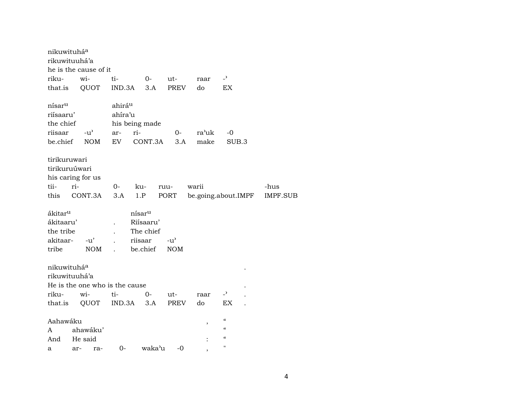| nikuwituháa         |                       |      |                                |                    |             |       |                            |                 |
|---------------------|-----------------------|------|--------------------------------|--------------------|-------------|-------|----------------------------|-----------------|
|                     | rikuwituuhá'a         |      |                                |                    |             |       |                            |                 |
|                     | he is the cause of it |      |                                |                    |             |       |                            |                 |
| riku-               | wi-                   |      | ti-                            | $0-$               | ut-         | raar  | $\overline{z}$             |                 |
| that.is             | QUOT                  |      | IND.3A                         | 3.A                | <b>PREV</b> | do    | <b>EX</b>                  |                 |
| nísar <sup>u</sup>  |                       |      | ahirá <sup>u</sup>             |                    |             |       |                            |                 |
| riísaaru'           |                       |      | ahíra'u                        |                    |             |       |                            |                 |
| the chief           |                       |      |                                | his being made     |             |       |                            |                 |
| riisaar             | $-u^{\prime}$         |      | ar-                            | ri-                | $O-$        | ra'uk | -0                         |                 |
| be.chief            |                       | NOM  | EV                             | CONT.3A            | 3.A         | make  | SUB.3                      |                 |
| tirikuruwari        |                       |      |                                |                    |             |       |                            |                 |
|                     | tirikuruúwari         |      |                                |                    |             |       |                            |                 |
|                     | his caring for us     |      |                                |                    |             |       |                            |                 |
| tii-                | ri-                   |      | $0-$                           | ku-                | ruu-        | warii |                            | -hus            |
| this                | CONT.3A               |      | 3.A                            | 1.P                | PORT        |       | be.going.about.IMPF        | <b>IMPF.SUB</b> |
| ákitar <sup>u</sup> |                       |      |                                | nísar <sup>u</sup> |             |       |                            |                 |
| ákitaaru'           |                       |      |                                | Riísaaru'          |             |       |                            |                 |
| the tribe           |                       |      |                                | The chief          |             |       |                            |                 |
| akitaar-            | $-u'$                 |      |                                | riisaar            | $-u'$       |       |                            |                 |
| tribe               |                       | NOM  | $\overline{a}$                 | be.chief           | <b>NOM</b>  |       |                            |                 |
| nikuwituháa         |                       |      |                                |                    |             |       |                            |                 |
|                     | rikuwituuhá'a         |      |                                |                    |             |       |                            |                 |
|                     |                       |      | He is the one who is the cause |                    |             |       |                            |                 |
| riku-               | wi-                   |      | ti-                            | $O -$              | ut-         | raar  | $\overline{z}$             |                 |
| that.is             |                       | QUOT | IND.3A                         | 3.A                | <b>PREV</b> | do    | EX                         |                 |
| Aahawáku            |                       |      |                                |                    |             | ,     | $\epsilon\epsilon$         |                 |
| A                   | ahawáku'              |      |                                |                    |             |       | $\boldsymbol{\mathcal{C}}$ |                 |
| And                 | He said               |      |                                |                    |             |       | $\pmb{\zeta}\pmb{\zeta}$   |                 |
| a                   | ar-                   | ra-  | $0-$                           | waka'u             | -0          |       | $\pmb{\mathsf{H}}$         |                 |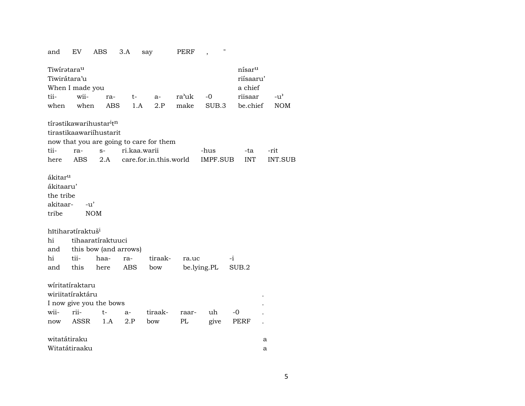| and                                                        | EV                                                                                                                                                              | ABS                                             | 3.A          | say                                     | PERF  | 11<br>,     |            |                |  |  |  |  |  |  |
|------------------------------------------------------------|-----------------------------------------------------------------------------------------------------------------------------------------------------------------|-------------------------------------------------|--------------|-----------------------------------------|-------|-------------|------------|----------------|--|--|--|--|--|--|
| Tiwiratara <sup>u</sup><br>Tiwirátara'u<br>When I made you | nísar <sup>u</sup><br>riísaaru'<br>a chief                                                                                                                      |                                                 |              |                                         |       |             |            |                |  |  |  |  |  |  |
| tii-                                                       | wii-                                                                                                                                                            | ra-                                             | $t-$         | a-                                      | ra'uk | $-0$        | riisaar    | $-u^{\prime}$  |  |  |  |  |  |  |
| when                                                       | make<br>be.chief<br>when<br>ABS<br>1.A<br>2.P<br>SUB.3                                                                                                          |                                                 |              |                                         |       |             |            |                |  |  |  |  |  |  |
|                                                            |                                                                                                                                                                 | tírəstikawarihustar <sup>i</sup> t <sup>n</sup> |              |                                         |       |             |            |                |  |  |  |  |  |  |
|                                                            |                                                                                                                                                                 | tirastikaawariihustarit                         |              |                                         |       |             |            |                |  |  |  |  |  |  |
|                                                            |                                                                                                                                                                 |                                                 |              | now that you are going to care for them |       |             |            |                |  |  |  |  |  |  |
| tii-                                                       | ra-                                                                                                                                                             | $s-$                                            | ri.kaa.warii |                                         |       | -hus        | -ta        | -rit           |  |  |  |  |  |  |
| here                                                       | ABS                                                                                                                                                             | 2.A                                             |              | care.for.in.this.world                  |       | IMPF.SUB    | <b>INT</b> | <b>INT.SUB</b> |  |  |  |  |  |  |
| tribe<br>hi<br>and                                         | ákitar <sup>u</sup><br>ákitaaru'<br>the tribe<br>akitaar-<br>$-u'$<br><b>NOM</b><br>hītiharətíraktuš <sup>i</sup><br>tihaaratíraktuuci<br>this bow (and arrows) |                                                 |              |                                         |       |             |            |                |  |  |  |  |  |  |
| hi                                                         | tii-                                                                                                                                                            | haa-                                            | ra-          | tiraak-                                 | ra.uc |             | -i         |                |  |  |  |  |  |  |
| and                                                        | this                                                                                                                                                            | here                                            | ABS          | bow                                     |       | be.lying.PL | SUB.2      |                |  |  |  |  |  |  |
|                                                            | wiritatiraktaru<br>wiriitatíraktáru                                                                                                                             | I now give you the bows                         |              |                                         |       |             |            |                |  |  |  |  |  |  |
|                                                            |                                                                                                                                                                 |                                                 |              |                                         |       |             |            |                |  |  |  |  |  |  |
| wii-                                                       | rii-                                                                                                                                                            | t-                                              | $a-$         | tiraak-                                 | raar- | uh          | -0         |                |  |  |  |  |  |  |
| now                                                        | ASSR                                                                                                                                                            | 1.A                                             | 2.P          | bow                                     | PL    | give        | PERF       |                |  |  |  |  |  |  |
| witatátiraku                                               |                                                                                                                                                                 |                                                 |              |                                         |       |             |            | а              |  |  |  |  |  |  |
|                                                            | Witatátiraaku                                                                                                                                                   |                                                 |              |                                         |       |             |            | a              |  |  |  |  |  |  |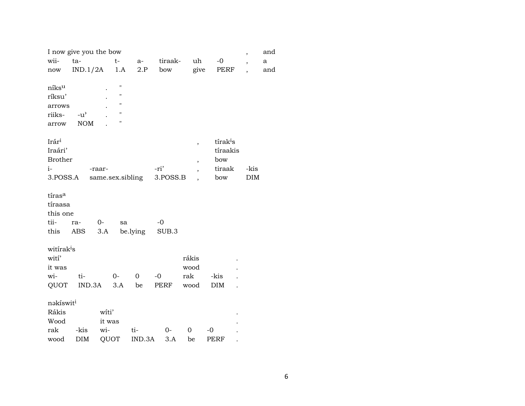|                        | I now give you the bow<br>and<br>$\overline{\phantom{a}}$ |        |                    |                  |          |       |                          |                      |  |                          |     |  |  |
|------------------------|-----------------------------------------------------------|--------|--------------------|------------------|----------|-------|--------------------------|----------------------|--|--------------------------|-----|--|--|
| wii-                   | ta-                                                       |        | $t-$               | a-               | tiraak-  |       | uh                       | $-0$                 |  | $\overline{\phantom{a}}$ | a   |  |  |
| now                    | IND.1/2A                                                  |        | 1.A                | 2.P              | bow      |       | give                     | PERF                 |  | $\overline{\phantom{a}}$ | and |  |  |
|                        |                                                           |        |                    |                  |          |       |                          |                      |  |                          |     |  |  |
| níksu                  |                                                           |        | П                  |                  |          |       |                          |                      |  |                          |     |  |  |
| ríksu'                 |                                                           |        | Н                  |                  |          |       |                          |                      |  |                          |     |  |  |
| arrows                 |                                                           |        | Н                  |                  |          |       |                          |                      |  |                          |     |  |  |
| riiks-                 | $-u$ <sup><math>\prime</math></sup>                       |        | $\pmb{\mathsf{H}}$ |                  |          |       |                          |                      |  |                          |     |  |  |
| arrow                  | <b>NOM</b>                                                |        | н                  |                  |          |       |                          |                      |  |                          |     |  |  |
|                        |                                                           |        |                    |                  |          |       |                          |                      |  |                          |     |  |  |
| Irár <sup>i</sup>      |                                                           |        |                    |                  |          |       | $\overline{\phantom{a}}$ | tírak <sup>i</sup> s |  |                          |     |  |  |
| Iraári'                |                                                           |        |                    |                  |          |       |                          | tíraakis             |  |                          |     |  |  |
| <b>Brother</b>         |                                                           |        |                    |                  |          |       | $\overline{\phantom{a}}$ | bow                  |  |                          |     |  |  |
| $i-$                   |                                                           | -raar- |                    |                  | -ri'     |       | $\overline{\phantom{a}}$ | tiraak<br>bow        |  | -kis<br><b>DIM</b>       |     |  |  |
| 3.POSS.A               |                                                           |        |                    | same.sex.sibling | 3.POSS.B |       |                          |                      |  |                          |     |  |  |
| tíras <sup>a</sup>     |                                                           |        |                    |                  |          |       |                          |                      |  |                          |     |  |  |
| tíraasa                |                                                           |        |                    |                  |          |       |                          |                      |  |                          |     |  |  |
| this one               |                                                           |        |                    |                  |          |       |                          |                      |  |                          |     |  |  |
| tii-                   | ra-                                                       | $0 -$  | sa                 |                  | $-0$     |       |                          |                      |  |                          |     |  |  |
| this                   | ABS                                                       | 3.A    |                    | be.lying         | SUB.3    |       |                          |                      |  |                          |     |  |  |
|                        |                                                           |        |                    |                  |          |       |                          |                      |  |                          |     |  |  |
| witirak <sup>i</sup> s |                                                           |        |                    |                  |          |       |                          |                      |  |                          |     |  |  |
| wití'                  |                                                           |        |                    |                  |          | rákis |                          |                      |  |                          |     |  |  |
| it was                 |                                                           |        |                    |                  |          | wood  |                          |                      |  |                          |     |  |  |
| wi-                    | ti-                                                       |        | $0 -$              | 0                | $-0$     | rak   |                          | -kis                 |  |                          |     |  |  |
| QUOT                   | IND.3A                                                    |        | 3.A                | be               | PERF     | wood  |                          | <b>DIM</b>           |  |                          |     |  |  |
|                        |                                                           |        |                    |                  |          |       |                          |                      |  |                          |     |  |  |
| nakíswit <sup>i</sup>  |                                                           |        |                    |                  |          |       |                          |                      |  |                          |     |  |  |
| Rákis                  |                                                           | witi'  |                    |                  |          |       |                          |                      |  |                          |     |  |  |
| Wood                   |                                                           | it was |                    |                  |          |       |                          |                      |  |                          |     |  |  |
| rak                    | -kis                                                      | wi-    |                    | ti-              | $0-$     | 0     |                          | $-0$                 |  |                          |     |  |  |
| wood                   | <b>DIM</b>                                                | QUOT   |                    | IND.3A           | 3.A      | be    |                          | <b>PERF</b>          |  |                          |     |  |  |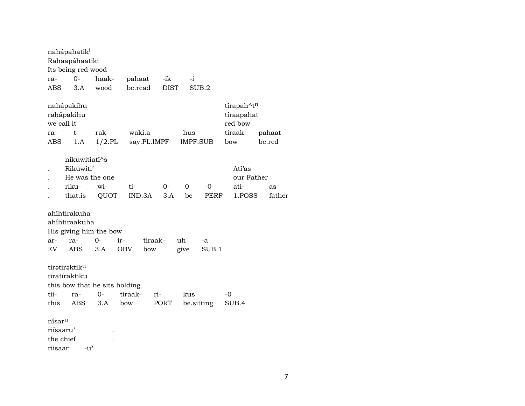|                          | nahápahatik <sup>i</sup><br>Rahaapáhaatiki                                           |                   |                   |                |             |            |                 |                                                                   |                  |
|--------------------------|--------------------------------------------------------------------------------------|-------------------|-------------------|----------------|-------------|------------|-----------------|-------------------------------------------------------------------|------------------|
|                          | Its being red wood                                                                   |                   |                   |                |             |            |                 |                                                                   |                  |
| ra-                      | $0-$                                                                                 | haak-             | pahaat            |                | -ik         | $-i$       |                 |                                                                   |                  |
| ABS                      | 3.A                                                                                  | wood              | be.read           |                | <b>DIST</b> |            | SUB.2           |                                                                   |                  |
| we call it<br>ra-<br>ABS | nahápakihu<br>rahápakihu<br>$t-$<br>1.A                                              | rak-<br>$1/2$ .PL | waki.a            | say.PL.IMPF    |             | -hus       | <b>IMPF.SUB</b> | tírapah^t <sup>n</sup><br>tíraapahat<br>red bow<br>tiraak-<br>bow | pahaat<br>be.red |
|                          | nikuwitiati^s                                                                        |                   |                   |                |             |            |                 |                                                                   |                  |
|                          | Rikuwíti'                                                                            |                   |                   |                |             |            |                 | Atí'as                                                            |                  |
|                          | He was the one                                                                       |                   |                   |                |             |            |                 | our Father                                                        |                  |
|                          | riku-                                                                                | wi-               | ti-               |                | $0-$        | 0          | -0              | ati-                                                              | as               |
|                          | that.is                                                                              | QUOT              | IND.3A            |                | 3.A         | be         | PERF            | 1.POSS                                                            | father           |
| ar-<br>EV                | ahíhtirakuha<br>ahíhtiraakuha<br>His giving him the bow<br>ra-<br><b>ABS</b>         | $0-$<br>3.A       | ir-<br><b>OBV</b> | tiraak-<br>bow |             | uh<br>give | -a<br>SUB.1     |                                                                   |                  |
| tii-<br>this             | tiratiraktiku<br>tiratíraktiku<br>this bow that he sits holding<br>ra-<br><b>ABS</b> | $0-$<br>3.A       | tiraak-<br>bow    | ri-            | PORT        | kus        | be.sitting      | -0<br>SUB.4                                                       |                  |
|                          |                                                                                      |                   |                   |                |             |            |                 |                                                                   |                  |
| nísar <sup>u</sup>       |                                                                                      |                   |                   |                |             |            |                 |                                                                   |                  |
| riísaaru'                |                                                                                      |                   |                   |                |             |            |                 |                                                                   |                  |
| the chief                |                                                                                      |                   |                   |                |             |            |                 |                                                                   |                  |
| riisaar                  | $-u^{\prime}$                                                                        |                   |                   |                |             |            |                 |                                                                   |                  |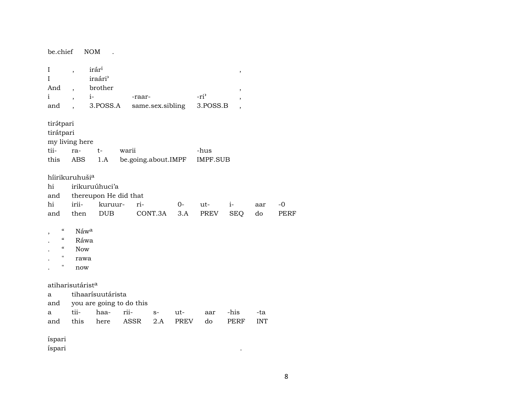| be.chief                                                                                                                                                                                                                                                                                                                                                                                                           | <b>NOM</b>                   |                   |                          |      |             |      |             |            |  |  |  |  |  |
|--------------------------------------------------------------------------------------------------------------------------------------------------------------------------------------------------------------------------------------------------------------------------------------------------------------------------------------------------------------------------------------------------------------------|------------------------------|-------------------|--------------------------|------|-------------|------|-------------|------------|--|--|--|--|--|
| irár <sup>i</sup><br>I<br>$\overline{\phantom{a}}$<br>$^\mathrm{,}$<br>iraári <sup></sup><br>I<br>brother<br>And<br>$\overline{\phantom{a}}$<br>$\, ,$<br>$-ri$<br>$\mathbf{i}$<br>$i-$<br>-raar-<br>$\overline{ }$<br>,<br>3.POSS.B<br>3.POSS.A<br>same.sex.sibling<br>and                                                                                                                                        |                              |                   |                          |      |             |      |             |            |  |  |  |  |  |
| tirátpari<br>tirátpari<br>my living here                                                                                                                                                                                                                                                                                                                                                                           |                              |                   |                          |      |             |      |             |            |  |  |  |  |  |
| tii-                                                                                                                                                                                                                                                                                                                                                                                                               | ra-                          | $t-$              |                          |      |             | -hus |             |            |  |  |  |  |  |
| this                                                                                                                                                                                                                                                                                                                                                                                                               | <b>ABS</b>                   | 1.A               |                          |      |             |      |             |            |  |  |  |  |  |
| warii<br>be.going.about.IMPF<br><b>IMPF.SUB</b><br>híirikuruhušia<br>hi<br>irikuruúhuci'a<br>thereupon He did that<br>and<br>hi<br>irii-<br>kuruur-<br>ri-<br>$0-$<br>ut-<br>$i-$<br>$-0$<br>aar<br><b>DUB</b><br>CONT.3A<br><b>SEQ</b><br>do<br>then<br>3.A<br>PREV<br>PERF<br>and<br>$\mathcal{C}\mathcal{C}$<br>Náwa<br>$\epsilon\epsilon$<br>Ráwa<br>$\epsilon\epsilon$<br><b>Now</b><br>н<br>rawa<br>Ħ<br>now |                              |                   |                          |      |             |      |             |            |  |  |  |  |  |
|                                                                                                                                                                                                                                                                                                                                                                                                                    | atiharisutárist <sup>a</sup> | tihaarísuutárista |                          |      |             |      |             |            |  |  |  |  |  |
| a<br>and                                                                                                                                                                                                                                                                                                                                                                                                           |                              |                   | you are going to do this |      |             |      |             |            |  |  |  |  |  |
| a                                                                                                                                                                                                                                                                                                                                                                                                                  | tii-                         | haa-              | rii-                     | $S-$ | ut-         | aar  | -his        | -ta        |  |  |  |  |  |
| and                                                                                                                                                                                                                                                                                                                                                                                                                | this                         | here              | ASSR                     | 2.A  | <b>PREV</b> | do   | <b>PERF</b> | <b>INT</b> |  |  |  |  |  |
| íspari<br>íspari                                                                                                                                                                                                                                                                                                                                                                                                   |                              |                   |                          |      |             |      |             |            |  |  |  |  |  |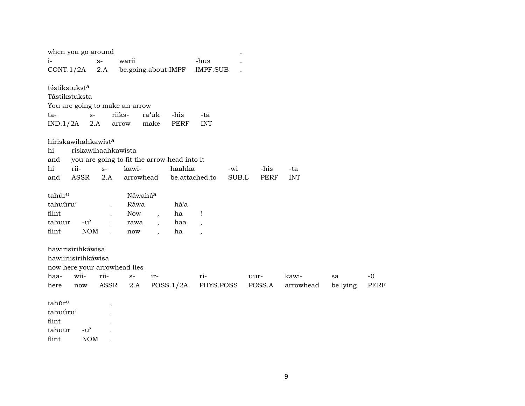| when you go around             |               |                          |                                             |                          |             |                          |       |             |            |          |             |
|--------------------------------|---------------|--------------------------|---------------------------------------------|--------------------------|-------------|--------------------------|-------|-------------|------------|----------|-------------|
| $i-$                           |               | $S-$                     | warii                                       |                          |             | -hus                     |       |             |            |          |             |
| CONT.1/2A                      |               | 2.A                      | be.going.about.IMPF                         |                          |             | <b>IMPF.SUB</b>          |       |             |            |          |             |
|                                |               |                          |                                             |                          |             |                          |       |             |            |          |             |
| tástikstuksta                  |               |                          |                                             |                          |             |                          |       |             |            |          |             |
| Tástikstuksta                  |               |                          |                                             |                          |             |                          |       |             |            |          |             |
| You are going to make an arrow |               |                          |                                             |                          |             |                          |       |             |            |          |             |
| ta-                            | $S-$          |                          | riiks-                                      | ra'uk                    | -his        | -ta                      |       |             |            |          |             |
| IND.1/2A                       | 2.A           |                          | arrow                                       | make                     | <b>PERF</b> | <b>INT</b>               |       |             |            |          |             |
| hiriskawihahkawista            |               |                          |                                             |                          |             |                          |       |             |            |          |             |
|                                |               |                          |                                             |                          |             |                          |       |             |            |          |             |
| hi                             |               |                          | riskawihaahkawista                          |                          |             |                          |       |             |            |          |             |
| and                            |               |                          | you are going to fit the arrow head into it |                          |             |                          |       |             |            |          |             |
| hi<br>rii-                     |               | $S-$                     | kawi-                                       |                          | haahka      |                          | -wi   | -his        | -ta        |          |             |
| and                            | <b>ASSR</b>   | 2.A                      | arrowhead                                   |                          |             | be.attached.to           | SUB.L | <b>PERF</b> | <b>INT</b> |          |             |
| tahūr <sup>u</sup>             |               |                          | Náwaháa                                     |                          |             |                          |       |             |            |          |             |
| tahuúru'                       |               |                          | Ráwa                                        |                          | há'a        |                          |       |             |            |          |             |
| flint                          |               |                          | <b>Now</b>                                  |                          | ha          | Ţ                        |       |             |            |          |             |
| tahuur                         | $-u^{\prime}$ |                          |                                             | $\overline{\phantom{a}}$ | haa         |                          |       |             |            |          |             |
|                                | <b>NOM</b>    |                          | rawa                                        | $\overline{\phantom{a}}$ |             | $\overline{\phantom{a}}$ |       |             |            |          |             |
| flint                          |               |                          | now                                         | $\ddot{\phantom{a}}$     | ha          | $\overline{\phantom{a}}$ |       |             |            |          |             |
| hawirisirihkáwisa              |               |                          |                                             |                          |             |                          |       |             |            |          |             |
| hawiiriisirihkáwisa            |               |                          |                                             |                          |             |                          |       |             |            |          |             |
| now here your arrowhead lies   |               |                          |                                             |                          |             |                          |       |             |            |          |             |
| wii-<br>haa-                   |               | rii-                     | $S-$                                        | ir-                      |             | ri-                      |       | uur-        | kawi-      | sa       | $-0$        |
| here                           | now           | ASSR                     | 2.A                                         |                          | POSS.1/2A   | PHYS.POSS                |       | POSS.A      | arrowhead  | be.lying | <b>PERF</b> |
|                                |               |                          |                                             |                          |             |                          |       |             |            |          |             |
| tahūr <sup>u</sup>             |               | $\overline{\phantom{a}}$ |                                             |                          |             |                          |       |             |            |          |             |
| tahuúru'                       |               |                          |                                             |                          |             |                          |       |             |            |          |             |
| flint                          |               |                          |                                             |                          |             |                          |       |             |            |          |             |
| tahuur                         | $-u^{\prime}$ |                          |                                             |                          |             |                          |       |             |            |          |             |
| flint                          | <b>NOM</b>    |                          |                                             |                          |             |                          |       |             |            |          |             |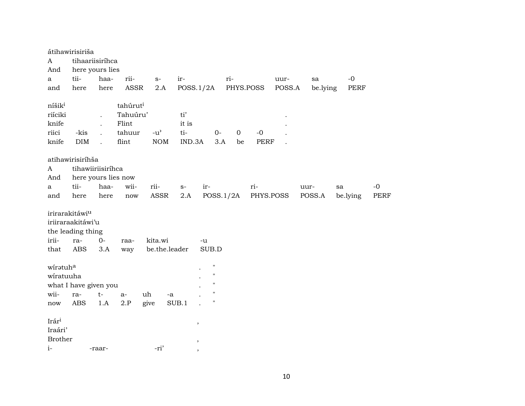|                    | átihawirisiriša            |                      |                      |               |        |                    |       |              |             |        |          |             |             |
|--------------------|----------------------------|----------------------|----------------------|---------------|--------|--------------------|-------|--------------|-------------|--------|----------|-------------|-------------|
| A                  | tihaariisiríhca            |                      |                      |               |        |                    |       |              |             |        |          |             |             |
| And                | here yours lies            |                      |                      |               |        |                    |       |              |             |        |          |             |             |
| a                  | tii-                       | haa-                 | rii-                 | $S-$          | ir-    |                    | ri-   |              |             | uur-   | sa       | $-0$        |             |
| and                | here                       | here                 | ASSR                 | 2.A           |        | POSS.1/2A          |       | PHYS.POSS    |             | POSS.A | be.lying | <b>PERF</b> |             |
| níšik <sup>i</sup> |                            |                      | tahúrut <sup>i</sup> |               |        |                    |       |              |             |        |          |             |             |
| riíciki            |                            |                      | Tahuúru'             |               | ti'    |                    |       |              |             |        |          |             |             |
| knife              |                            | $\ddot{\phantom{0}}$ | Flint                |               |        |                    |       |              |             |        |          |             |             |
|                    |                            | $\cdot$              |                      |               | it is  |                    |       |              |             |        |          |             |             |
| riici              | -kis                       |                      | tahuur               | $-u^{\prime}$ | ti-    |                    | $0 -$ | $\mathbf{O}$ | $-0$        |        |          |             |             |
| knife              | DIM                        | $\overline{a}$       | flint                | <b>NOM</b>    | IND.3A |                    | 3.A   | be           | <b>PERF</b> |        |          |             |             |
|                    | atihawirisiríhša           |                      |                      |               |        |                    |       |              |             |        |          |             |             |
| A                  | tihawiiriisiríhca          |                      |                      |               |        |                    |       |              |             |        |          |             |             |
| And                | here yours lies now        |                      |                      |               |        |                    |       |              |             |        |          |             |             |
| a                  | tii-                       | haa-                 | wii-                 | rii-          | $S-$   | ir-                |       |              | ri-         |        | uur-     | sa          | $-0$        |
| and                | here                       | here                 | $\operatorname{now}$ | ASSR          | 2.A    | POSS.1/2A          |       |              | PHYS.POSS   |        | POSS.A   | be.lying    | <b>PERF</b> |
|                    |                            |                      |                      |               |        |                    |       |              |             |        |          |             |             |
|                    | irirarakitáwi <sup>u</sup> |                      |                      |               |        |                    |       |              |             |        |          |             |             |
|                    | iriiraraakitáwi'u          |                      |                      |               |        |                    |       |              |             |        |          |             |             |
|                    | the leading thing          |                      |                      |               |        |                    |       |              |             |        |          |             |             |
| irii-              | ra-                        | $0-$                 | raa-                 | kita.wi       |        | -u                 |       |              |             |        |          |             |             |
| that               | ABS                        | 3.A                  | way                  | be.the.leader |        | SUB.D              |       |              |             |        |          |             |             |
|                    |                            |                      |                      |               |        |                    |       |              |             |        |          |             |             |
| wiratuha           |                            |                      |                      |               |        | $\pmb{\mathsf{H}}$ |       |              |             |        |          |             |             |
| wiratuuha          |                            |                      |                      |               |        | $\pmb{\mathsf{H}}$ |       |              |             |        |          |             |             |
|                    | what I have given you      |                      |                      |               |        | $\mathbf{H}$       |       |              |             |        |          |             |             |
| wii-               | ra-                        | $t-$                 | $a-$                 | uh<br>-a      |        | $\mathbf{H}$       |       |              |             |        |          |             |             |
| now                | <b>ABS</b>                 | 1.A                  | 2.P                  | give          | SUB.1  | $\pmb{\mathsf{H}}$ |       |              |             |        |          |             |             |
|                    |                            |                      |                      |               |        |                    |       |              |             |        |          |             |             |
| Irári              |                            |                      |                      |               |        | $\, ,$             |       |              |             |        |          |             |             |
| Iraári'            |                            |                      |                      |               |        |                    |       |              |             |        |          |             |             |
| <b>Brother</b>     |                            |                      |                      |               |        | $\,$               |       |              |             |        |          |             |             |
| $i-$               |                            | -raar-               |                      | -ri'          |        |                    |       |              |             |        |          |             |             |
|                    |                            |                      |                      |               |        |                    |       |              |             |        |          |             |             |

10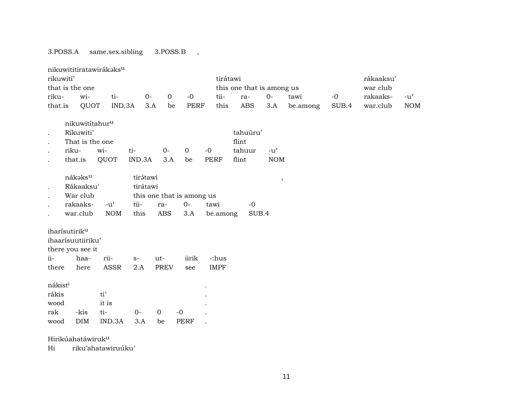## 3.POSS.A same.sex.sibling 3.POSS.B ,

|                              |                                                                                    |      | nikuwititiratawirákaksu |                      |                    |                           |                      |                          |            |                             |          |       |          |               |
|------------------------------|------------------------------------------------------------------------------------|------|-------------------------|----------------------|--------------------|---------------------------|----------------------|--------------------------|------------|-----------------------------|----------|-------|----------|---------------|
| rikuwití'                    |                                                                                    |      |                         |                      |                    |                           | rákaaksu'            |                          |            |                             |          |       |          |               |
|                              | that is the one                                                                    |      |                         |                      |                    |                           |                      |                          |            | this one that is among us   |          |       | war club |               |
| riku-                        | wi-                                                                                |      | ti-                     | $0-$                 | $\mathbf 0$        | $-0$                      | tii-                 | ra-                      |            | $O -$                       | tawi     | $-0$  | rakaaks- | $-u^{\prime}$ |
| that.is                      |                                                                                    | QUOT | IND.3A                  |                      | 3.A<br>be          | <b>PERF</b>               | this                 |                          | <b>ABS</b> | 3.A                         | be.among | SUB.4 | war.club | <b>NOM</b>    |
| $\ddot{\phantom{a}}$         | nikuwititahur <sup>u</sup><br>Ríkuwiti'<br>That is the one<br>riku-<br>that.is     | wi-  | QUOT                    | ti-<br>IND.3A        | $0-$<br>3.A        | $\mathbf{O}$<br>be        | $-0$<br><b>PERF</b>  | flint<br>tahuur<br>flint | tahuúru'   | $-u^{\prime}$<br>$\rm{NOM}$ |          |       |          |               |
|                              | nákaksu<br>Rákaaksu'<br>War club                                                   |      |                         | tirátawi<br>tirátawi |                    | this one that is among us |                      |                          |            | $^\mathrm{^\mathrm{o}}$     |          |       |          |               |
|                              | rakaaks-                                                                           |      | $-u^{\prime}$           | tii-                 | ra-                | $O -$                     | tawi                 |                          | $-0$       |                             |          |       |          |               |
|                              | war.club                                                                           |      | <b>NOM</b>              | this                 | <b>ABS</b>         | 3.A                       | be.among             |                          | SUB.4      |                             |          |       |          |               |
| ii-<br>there                 | iharísutirik <sup>u</sup><br>ihaarísuutiiriku'<br>there you see it<br>haa-<br>here |      | rii-<br>ASSR            | $S-$<br>2.A          | ut-<br><b>PREV</b> | iirik<br>see              | -:hus<br><b>IMPF</b> |                          |            |                             |          |       |          |               |
| nákist <sup>i</sup><br>rákis |                                                                                    |      | ti'                     |                      |                    |                           |                      |                          |            |                             |          |       |          |               |
| wood                         |                                                                                    |      | it is                   |                      |                    |                           |                      |                          |            |                             |          |       |          |               |
| rak                          | -kis                                                                               |      | ti-                     | $O -$                | $\mathbf{0}$       | $-0$                      |                      |                          |            |                             |          |       |          |               |
| wood                         | <b>DIM</b>                                                                         |      | IND.3A                  | 3.A                  | be                 | <b>PERF</b>               |                      |                          |            |                             |          |       |          |               |
|                              | Hirikúahatáwiruk <sup>u</sup>                                                      |      |                         |                      |                    |                           |                      |                          |            |                             |          |       |          |               |

Hi riku'ahatawiruúku'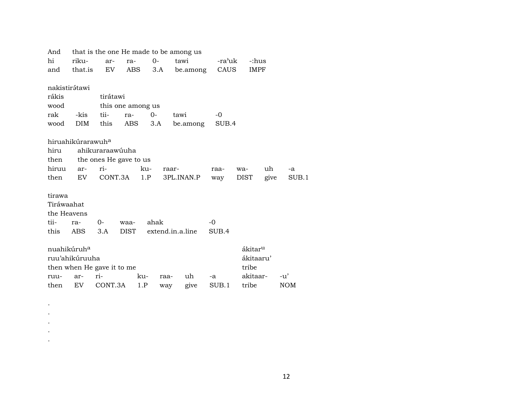| And                     |                               |                            |      |        |       | that is the one He made to be among us |       |     |                     |      |            |       |
|-------------------------|-------------------------------|----------------------------|------|--------|-------|----------------------------------------|-------|-----|---------------------|------|------------|-------|
| hi                      | riku-                         | ar-                        | tawi | -ra'uk |       | -:hus                                  |       |     |                     |      |            |       |
| and                     | that.is                       | EV                         | ABS  |        |       | 3.A be.among CAUS                      |       |     | IMPF                |      |            |       |
| nakistirátawi           |                               |                            |      |        |       |                                        |       |     |                     |      |            |       |
| rákis                   |                               | tirátawi                   |      |        |       |                                        |       |     |                     |      |            |       |
| wood                    |                               | this one among us          |      |        |       |                                        |       |     |                     |      |            |       |
| rak                     | -kis                          | tii-                       | ra-  | 0-     |       | tawi                                   | -0    |     |                     |      |            |       |
|                         | <b>DIM</b>                    |                            |      |        |       |                                        |       |     |                     |      |            |       |
| wood                    |                               | this                       | ABS  | 3.A    |       | be.among                               | SUB.4 |     |                     |      |            |       |
|                         | hiruahikúrarawuh <sup>a</sup> |                            |      |        |       |                                        |       |     |                     |      |            |       |
| hiru                    |                               | ahikuraraawúuha            |      |        |       |                                        |       |     |                     |      |            |       |
| then                    |                               | the ones He gave to us     |      |        |       |                                        |       |     |                     |      |            |       |
| hiruu                   | ar-                           | ri-                        |      | ku-    | raar- |                                        | raa-  | wa- |                     | uh   | -a         |       |
| then                    | EV                            | CONT.3A 1.P                |      |        |       | 3PL.INAN.P                             |       |     | DIST                |      |            | SUB.1 |
|                         |                               |                            |      |        |       |                                        | way   |     |                     | give |            |       |
| tirawa                  |                               |                            |      |        |       |                                        |       |     |                     |      |            |       |
| Tiráwaahat              |                               |                            |      |        |       |                                        |       |     |                     |      |            |       |
| the Heavens             |                               |                            |      |        |       |                                        |       |     |                     |      |            |       |
| tii-                    | ra-                           | $O -$                      | waa- | ahak   |       |                                        | $-0$  |     |                     |      |            |       |
| this                    | ABS                           | 3.A                        |      |        |       | DIST extend.in.a.line                  | SUB.4 |     |                     |      |            |       |
|                         |                               |                            |      |        |       |                                        |       |     |                     |      |            |       |
| nuahikúruh <sup>a</sup> |                               |                            |      |        |       |                                        |       |     | ákitar <sup>u</sup> |      |            |       |
|                         | ruu'ahikúruuha                |                            |      |        |       |                                        |       |     | ákitaaru'           |      |            |       |
|                         |                               | then when He gave it to me |      |        |       |                                        |       |     | tribe               |      |            |       |
| ruu-                    | ar-                           | ri-                        |      | ku-    | raa-  | uh                                     | -a    |     | akitaar-            |      | $-u'$      |       |
|                         | EV.                           | CONT.3A                    |      |        |       |                                        |       |     |                     |      | <b>NOM</b> |       |
| then                    |                               |                            |      | 1.P    | way   | give                                   | SUB.1 |     | tribe               |      |            |       |

. . . . .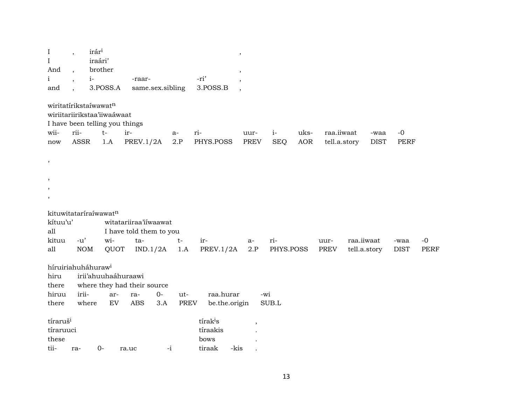| $\bf{I}$                       | $\overline{\phantom{a}}$ | irár <sup>i</sup> |          |                                |                  |             |                      | $\,$                     |            |            |              |            |              |             |             |
|--------------------------------|--------------------------|-------------------|----------|--------------------------------|------------------|-------------|----------------------|--------------------------|------------|------------|--------------|------------|--------------|-------------|-------------|
| $\bf{I}$                       |                          | iraári'           |          |                                |                  |             |                      |                          |            |            |              |            |              |             |             |
| And                            | $\ddot{\phantom{0}}$     | brother           |          |                                |                  |             |                      | $\overline{\phantom{a}}$ |            |            |              |            |              |             |             |
| $\mathbf{i}$                   | $\overline{\phantom{a}}$ | $i-$              |          | -raar-                         |                  |             | -ri'                 |                          |            |            |              |            |              |             |             |
| and                            |                          |                   | 3.POSS.A |                                | same.sex.sibling |             | 3.POSS.B             | $\overline{\phantom{a}}$ |            |            |              |            |              |             |             |
| wiritatírikstaíwawatn          |                          |                   |          |                                |                  |             |                      |                          |            |            |              |            |              |             |             |
| wiriitariirikstaa'iiwaáwaat    |                          |                   |          |                                |                  |             |                      |                          |            |            |              |            |              |             |             |
|                                |                          |                   |          | I have been telling you things |                  |             |                      |                          |            |            |              |            |              |             |             |
| wii-                           | rii-                     |                   | $t-$     | ir-                            |                  | $a-$        | ri-                  | uur-                     | $i-$       | uks-       | raa.iiwaat   |            | -waa         | $-0$        |             |
| now                            | <b>ASSR</b>              |                   | 1.A      | PREV.1/2A                      |                  | 2.P         | PHYS.POSS            | <b>PREV</b>              | <b>SEQ</b> | <b>AOR</b> | tell.a.story |            | <b>DIST</b>  | <b>PERF</b> |             |
| $\,$                           |                          |                   |          |                                |                  |             |                      |                          |            |            |              |            |              |             |             |
|                                |                          |                   |          |                                |                  |             |                      |                          |            |            |              |            |              |             |             |
| ,                              |                          |                   |          |                                |                  |             |                      |                          |            |            |              |            |              |             |             |
| ,                              |                          |                   |          |                                |                  |             |                      |                          |            |            |              |            |              |             |             |
| ,                              |                          |                   |          |                                |                  |             |                      |                          |            |            |              |            |              |             |             |
| kituwitataríraíwawatn          |                          |                   |          |                                |                  |             |                      |                          |            |            |              |            |              |             |             |
| kítuu'u'                       |                          |                   |          | witatariiraa'iiwaawat          |                  |             |                      |                          |            |            |              |            |              |             |             |
| all                            |                          |                   |          | I have told them to you        |                  |             |                      |                          |            |            |              |            |              |             |             |
| kituu                          | $-u'$                    |                   | wi-      | ta-                            |                  | $t-$        | $ir-$                | $a-$                     | ri-        |            | uur-         | raa.iiwaat |              | -waa        | $-0$        |
| all                            |                          | <b>NOM</b>        | QUOT     |                                | IND.1/2A         | 1.A         | <b>PREV.1/2A</b>     | 2.P                      | PHYS.POSS  |            | PREV         |            | tell.a.story | <b>DIST</b> | <b>PERF</b> |
| híruiriahuháhuraw <sup>i</sup> |                          |                   |          |                                |                  |             |                      |                          |            |            |              |            |              |             |             |
| hiru                           |                          |                   |          | irii'ahuuhaáhuraawi            |                  |             |                      |                          |            |            |              |            |              |             |             |
| there                          |                          |                   |          | where they had their source    |                  |             |                      |                          |            |            |              |            |              |             |             |
| hiruu                          | irii-                    |                   | ar-      | ra-                            | $O -$            | ut-         | raa.hurar            |                          | -wi        |            |              |            |              |             |             |
| there                          |                          | where             | EV       | <b>ABS</b>                     | 3.A              | <b>PREV</b> | be.the.origin        |                          | SUB.L      |            |              |            |              |             |             |
| tíraruš <sup>i</sup>           |                          |                   |          |                                |                  |             | tírak <sup>i</sup> s |                          |            |            |              |            |              |             |             |
| tíraruuci                      |                          |                   |          |                                |                  |             | tíraakis             |                          |            |            |              |            |              |             |             |
| these                          |                          |                   |          |                                |                  |             | bows                 |                          |            |            |              |            |              |             |             |
| tii-                           | ra-                      | $0-$              |          | ra.uc                          | $-i$             |             | tiraak<br>-kis       |                          |            |            |              |            |              |             |             |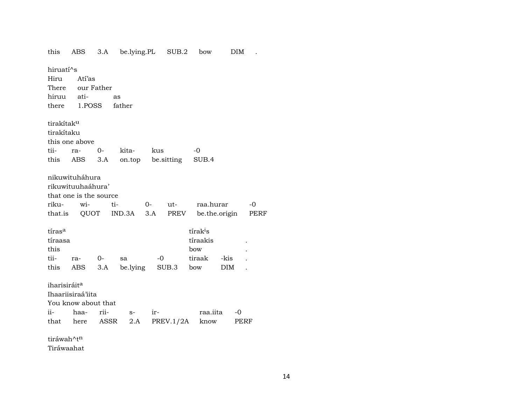| this                     | ABS                    |      | 3.A be.lying.PL SUB.2 |      |           |                      | bow           | DIM  |      |
|--------------------------|------------------------|------|-----------------------|------|-----------|----------------------|---------------|------|------|
| hiruati <sup>^</sup> s   |                        |      |                       |      |           |                      |               |      |      |
| Hiru                     | Atí'as                 |      |                       |      |           |                      |               |      |      |
|                          | There our Father       |      |                       |      |           |                      |               |      |      |
| hiruu                    | ati-                   | as   |                       |      |           |                      |               |      |      |
|                          | there 1.POSS father    |      |                       |      |           |                      |               |      |      |
| tirakítak <sup>u</sup>   |                        |      |                       |      |           |                      |               |      |      |
| tirakítaku               |                        |      |                       |      |           |                      |               |      |      |
|                          | this one above         |      |                       |      |           |                      |               |      |      |
| tii-                     | ra-                    | $O-$ | kita-                 | kus  |           | -0                   |               |      |      |
|                          | this ABS               |      | 3.A on.top be.sitting |      |           | SUB.4                |               |      |      |
|                          | nikuwituháhura         |      |                       |      |           |                      |               |      |      |
|                          | rikuwituuhaáhura'      |      |                       |      |           |                      |               |      |      |
|                          | that one is the source |      |                       |      |           |                      |               |      |      |
| riku-                    | wi-                    | ti-  |                       | $0-$ | ut-       |                      | raa.hurar     |      | $-0$ |
|                          | that.is QUOT           |      | $IND.3A$ $3.A$        |      | PREV      |                      | be.the.origin |      | PERF |
| tiras <sup>a</sup>       |                        |      |                       |      |           | tírak <sup>i</sup> s |               |      |      |
| tíraasa                  |                        |      |                       |      |           | tíraakis             |               |      |      |
| this                     |                        |      |                       |      |           | bow                  |               |      |      |
| tii-                     | ra-                    | $0-$ | sa                    |      | $-0$      | tiraak               |               | -kis |      |
| this                     | ABS                    | 3.A  | be.lying              |      | SUB.3     | bow                  |               | DIM  |      |
|                          |                        |      |                       |      |           |                      |               |      |      |
| iharisiráit <sup>a</sup> |                        |      |                       |      |           |                      |               |      |      |
|                          | Ihaariisiraá'iita      |      |                       |      |           |                      |               |      |      |
|                          | You know about that    |      |                       |      |           |                      |               |      |      |
| ii-                      | haa-                   | rii- | $S-$                  | ir-  |           |                      | raa.iita      | -0   |      |
|                          | that here              | ASSR | 2.A                   |      | PREV.1/2A |                      | know          | PERF |      |
| tiráwah^t <sup>n</sup>   |                        |      |                       |      |           |                      |               |      |      |

Tiráwaahat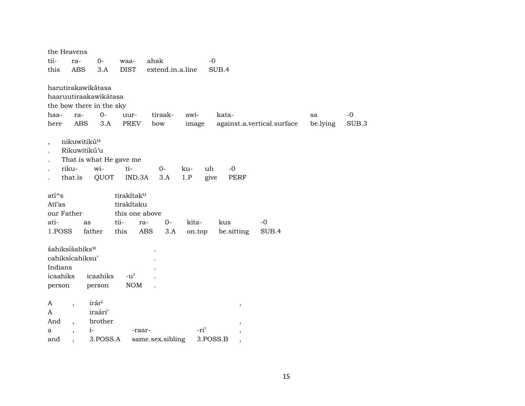|                          |            | the Heavens                |                          |                         |                  |                  |        |                                      |                            |          |       |
|--------------------------|------------|----------------------------|--------------------------|-------------------------|------------------|------------------|--------|--------------------------------------|----------------------------|----------|-------|
|                          | tii-       | ra-                        | $0-$                     | waa-                    | ahak             |                  |        | $-0$                                 |                            |          |       |
|                          | this       | <b>ABS</b>                 | 3.A                      | <b>DIST</b>             |                  | extend.in.a.line |        | SUB.4                                |                            |          |       |
|                          |            |                            |                          |                         |                  |                  |        |                                      |                            |          |       |
|                          |            |                            | harutirakawikátasa       |                         |                  |                  |        |                                      |                            |          |       |
|                          |            |                            | haaruutiraakawikátasa    |                         |                  |                  |        |                                      |                            |          |       |
|                          |            |                            | the bow there in the sky |                         |                  |                  |        |                                      |                            |          |       |
|                          | haa-       | ra-                        | $0-$                     | uur-                    |                  | tiraak-          | awi-   | kata-                                |                            | sa       | $-0$  |
|                          | here       | ABS                        | 3.A                      | PREV                    | bow              |                  | image  |                                      | against.a.vertical.surface | be.lying | SUB.3 |
| $\overline{\phantom{a}}$ |            | nikuwitikú <sup>u</sup>    |                          |                         |                  |                  |        |                                      |                            |          |       |
|                          |            | Rikuwitikú'u               |                          |                         |                  |                  |        |                                      |                            |          |       |
|                          |            |                            |                          | That is what He gave me |                  |                  |        |                                      |                            |          |       |
|                          |            | riku-                      | wi-                      | ti-                     |                  | $0-$             | ku-    | uh<br>$-0$                           |                            |          |       |
|                          |            | that.is                    | QUOT                     | IND.3A                  |                  | 3.A              | 1.P    | PERF<br>give                         |                            |          |       |
|                          |            |                            |                          |                         |                  |                  |        |                                      |                            |          |       |
|                          | $ati^s$    |                            |                          | tirakítak <sup>u</sup>  |                  |                  |        |                                      |                            |          |       |
|                          | Atí'as     |                            |                          | tirakítaku              |                  |                  |        |                                      |                            |          |       |
|                          | our Father |                            |                          | this one above          |                  |                  |        |                                      |                            |          |       |
|                          | ati-       | as                         |                          | tii-                    | ra-              | $0-$             | kita-  | kus                                  | $-0$                       |          |       |
|                          | 1.POSS     |                            | father                   | this                    | ABS              | 3.A              | on.top | be.sitting                           | SUB.4                      |          |       |
|                          |            | šahiksíšahiks <sup>u</sup> |                          |                         |                  |                  |        |                                      |                            |          |       |
|                          |            | cahiksícahiksu'            |                          |                         |                  |                  |        |                                      |                            |          |       |
|                          | Indians    |                            |                          |                         |                  |                  |        |                                      |                            |          |       |
|                          | icaahiks   |                            | icaahiks                 | $-u^{\prime}$           |                  |                  |        |                                      |                            |          |       |
|                          | person     |                            | person                   | <b>NOM</b>              |                  |                  |        |                                      |                            |          |       |
|                          |            |                            |                          |                         |                  |                  |        |                                      |                            |          |       |
|                          | A          | $\overline{\phantom{a}}$   | irár <sup>i</sup>        |                         |                  |                  |        | $^\mathrm{,}$                        |                            |          |       |
|                          | A          |                            | iraári'                  |                         |                  |                  |        |                                      |                            |          |       |
|                          | And        | $\overline{\phantom{a}}$   | brother                  |                         |                  |                  |        | $\overline{\phantom{a}}$             |                            |          |       |
|                          | a          | $\overline{\phantom{a}}$   | $i-$                     |                         | -raar-           |                  | -ri'   | $\overline{\phantom{a}}$             |                            |          |       |
|                          | and        |                            | 3.POSS.A                 |                         | same.sex.sibling |                  |        | 3.POSS.B<br>$\overline{\phantom{a}}$ |                            |          |       |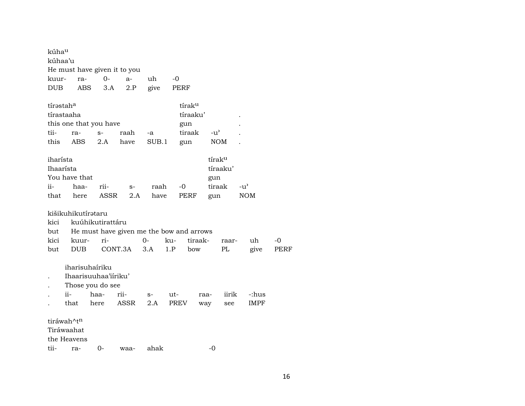| kúha <sup>u</sup><br>kúhaa'u                        |       |                    |                        | He must have given it to you             |       |      |          |      |                                |               |       |      |
|-----------------------------------------------------|-------|--------------------|------------------------|------------------------------------------|-------|------|----------|------|--------------------------------|---------------|-------|------|
| kuur-                                               |       | ra-                | $0-$                   | $a-$                                     | uh    | -0   |          |      |                                |               |       |      |
| <b>DUB</b>                                          |       | ABS                | 3.A                    | 2.P                                      | give  |      | PERF     |      |                                |               |       |      |
| tírəstah <sup>a</sup>                               |       |                    |                        |                                          |       |      | tíraku   |      |                                |               |       |      |
| tírastaaha                                          |       |                    |                        |                                          |       |      | tíraaku' |      |                                |               |       |      |
|                                                     |       |                    | this one that you have |                                          |       |      | gun      |      |                                |               |       |      |
| tii-                                                | ra-   |                    | $S-$                   | raah                                     | -a    |      | tiraak   |      | $-u^{\prime}$                  |               |       |      |
| this                                                |       | ABS                | 2.A                    | have                                     | SUB.1 |      | gun      |      | NOM                            |               |       |      |
| iharísta<br>Ihaarísta                               |       |                    |                        |                                          |       |      |          |      | tírak <sup>u</sup><br>tíraaku' |               |       |      |
| You have that                                       |       |                    |                        |                                          |       |      |          |      | gun                            |               |       |      |
| ii-                                                 |       | haa-               | rii-                   | $S-$                                     | raah  |      | -0       |      | tiraak                         | $-u^{\prime}$ |       |      |
| that                                                |       | here               | ASSR                   | 2.A                                      | have  |      | PERF     |      | gun                            | <b>NOM</b>    |       |      |
|                                                     |       | kišikuhikutírataru |                        |                                          |       |      |          |      |                                |               |       |      |
| kici                                                |       |                    | kuúhikutirattáru       |                                          |       |      |          |      |                                |               |       |      |
| but                                                 |       |                    |                        | He must have given me the bow and arrows |       |      |          |      |                                |               |       |      |
| kici                                                |       | kuur-              | ri-                    |                                          | 0-    | ku-  | tiraak-  |      | raar-                          |               | uh    | -0   |
| but                                                 |       | <b>DUB</b>         | CONT.3A                |                                          | 3.A   | 1.P  | bow      |      | PL                             |               | give  | PERF |
|                                                     |       | iharisuhaíriku     |                        |                                          |       |      |          |      |                                |               |       |      |
| $\ddot{\phantom{0}}$                                |       |                    | Ihaarisuuhaa'iiriku'   |                                          |       |      |          |      |                                |               |       |      |
|                                                     |       |                    | Those you do see       |                                          |       |      |          |      |                                |               |       |      |
|                                                     | $ii-$ |                    | haa-                   | rii-                                     | $S-$  | ut-  |          | raa- | iirik                          |               | -:hus |      |
|                                                     | that  |                    | here                   | ASSR                                     | 2.A   | PREV |          | way  | see                            |               | IMPF  |      |
| tiráwah^t <sup>n</sup><br>Tiráwaahat<br>the Heavens |       |                    |                        |                                          |       |      |          |      |                                |               |       |      |
| tii-                                                | ra-   |                    | 0-                     | waa-                                     | ahak  |      |          | -0   |                                |               |       |      |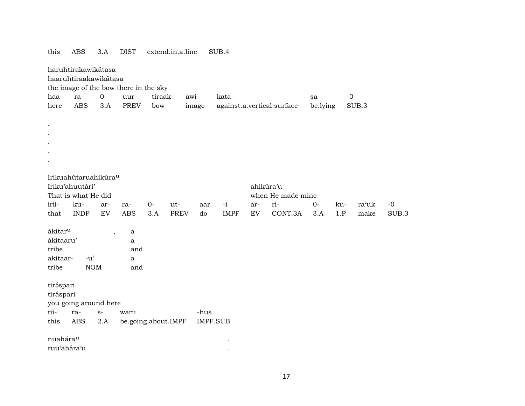|                     | haruhtirakawikátasa<br>haaruhtiraakawikátasa |                          |                                       |         |      |       |                 |     |                            |          |      |       |       |
|---------------------|----------------------------------------------|--------------------------|---------------------------------------|---------|------|-------|-----------------|-----|----------------------------|----------|------|-------|-------|
|                     |                                              |                          | the image of the bow there in the sky |         |      |       |                 |     |                            |          |      |       |       |
| haa-                | ra-                                          | $0-$                     | uur-                                  | tiraak- |      | awi-  | kata-           |     |                            | sa       | $-0$ |       |       |
| here                | <b>ABS</b>                                   | 3.A                      | <b>PREV</b>                           | bow     |      | image |                 |     | against.a.vertical.surface | be.lying |      | SUB.3 |       |
|                     |                                              |                          |                                       |         |      |       |                 |     |                            |          |      |       |       |
|                     |                                              |                          |                                       |         |      |       |                 |     |                            |          |      |       |       |
|                     |                                              |                          |                                       |         |      |       |                 |     |                            |          |      |       |       |
|                     |                                              |                          |                                       |         |      |       |                 |     |                            |          |      |       |       |
|                     |                                              |                          |                                       |         |      |       |                 |     |                            |          |      |       |       |
|                     |                                              |                          |                                       |         |      |       |                 |     |                            |          |      |       |       |
|                     | Irikuahútaruahikúra <sup>u</sup>             |                          |                                       |         |      |       |                 |     |                            |          |      |       |       |
|                     | Iriku'ahuutári'                              |                          |                                       |         |      |       |                 |     | ahikúra'u                  |          |      |       |       |
|                     | That is what He did                          |                          |                                       |         |      |       |                 |     | when He made mine          |          |      |       |       |
| irii-               | ku-                                          | ar-                      | ra-                                   | $0-$    | ut-  | aar   | $-i$            | ar- | ri-                        | $0-$     | ku-  | ra'uk | $-0$  |
| that                | <b>INDF</b>                                  | ${\rm EV}$               | <b>ABS</b>                            | 3.A     | PREV | do    | <b>IMPF</b>     | EV  | CONT.3A                    | 3.A      | 1.P  | make  | SUB.3 |
|                     |                                              |                          |                                       |         |      |       |                 |     |                            |          |      |       |       |
| ákitar <sup>u</sup> |                                              | $\overline{\phantom{a}}$ | $\mathbf a$                           |         |      |       |                 |     |                            |          |      |       |       |
| ákitaaru'           |                                              |                          | a                                     |         |      |       |                 |     |                            |          |      |       |       |
| tribe               |                                              |                          | and                                   |         |      |       |                 |     |                            |          |      |       |       |
| akitaar-            | $-u'$                                        |                          | a                                     |         |      |       |                 |     |                            |          |      |       |       |
| tribe               | $\rm{NOM}$                                   |                          | and                                   |         |      |       |                 |     |                            |          |      |       |       |
|                     |                                              |                          |                                       |         |      |       |                 |     |                            |          |      |       |       |
| tiráspari           |                                              |                          |                                       |         |      |       |                 |     |                            |          |      |       |       |
| tiráspari           |                                              |                          |                                       |         |      |       |                 |     |                            |          |      |       |       |
|                     | you going around here                        |                          |                                       |         |      |       |                 |     |                            |          |      |       |       |
| tii-                | ra-                                          | $S-$                     | warii                                 |         |      | -hus  |                 |     |                            |          |      |       |       |
| this                | ABS                                          | 2.A                      | be.going.about.IMPF                   |         |      |       | <b>IMPF.SUB</b> |     |                            |          |      |       |       |
| nuahárau            |                                              |                          |                                       |         |      |       |                 |     |                            |          |      |       |       |
| ruu'ahára'u         |                                              |                          |                                       |         |      |       |                 |     |                            |          |      |       |       |

### this ABS 3.A DIST extend.in.a.line SUB.4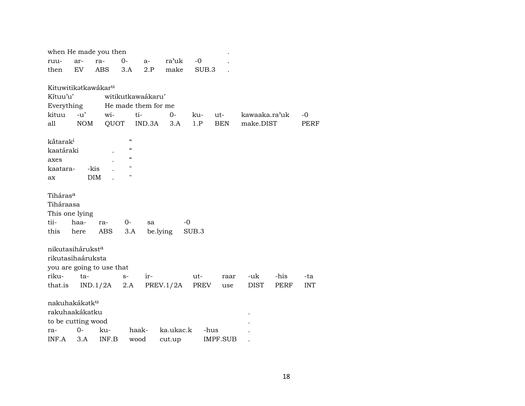| when He made you then                                                        |                       |
|------------------------------------------------------------------------------|-----------------------|
| $O -$<br>ra'uk<br>ar-<br>ra-<br>$-0$<br>$a-$<br>ruu-                         |                       |
| EV.<br><b>ABS</b><br>2.P<br>make<br>SUB.3<br>then<br>3.A                     |                       |
|                                                                              |                       |
| Kituwitikatkawákar <sup>u</sup>                                              |                       |
| Kítuu'u'<br>witikutkawaákaru'                                                |                       |
| He made them for me<br>Everything                                            |                       |
| kituu<br>$-u'$<br>wi-<br>ti-<br>$0-$<br>ku-<br>ut-                           | kawaaka.ra'uk<br>$-0$ |
| <b>NOM</b><br>QUOT<br>IND.3A<br>1.P<br><b>BEN</b><br>make.DIST<br>all<br>3.A | PERF                  |
| $\mathcal{C}\mathcal{C}$                                                     |                       |
| kåtarak <sup>i</sup><br>$\boldsymbol{\mathcal{C}}$                           |                       |
| kaatáraki<br>$\boldsymbol{\mathcal{C}}$                                      |                       |
| axes                                                                         |                       |
| п<br>kaatara-<br>-kis                                                        |                       |
| $\blacksquare$<br><b>DIM</b><br>ax                                           |                       |
| Tiháras <sup>a</sup>                                                         |                       |
| Tiháraasa                                                                    |                       |
|                                                                              |                       |
| This one lying                                                               |                       |
| tii-<br>haa-<br>$0-$<br>$-0$<br>ra-<br>sa                                    |                       |
| be.lying<br>this<br>ABS<br>3.A<br>SUB.3<br>here                              |                       |
| nikutasihárukst <sup>a</sup>                                                 |                       |
| rikutasihaáruksta                                                            |                       |
| you are going to use that                                                    |                       |
| riku-<br>ut-<br>-uk -<br>ta-<br>ir-<br>$S-$<br>raar                          | -his<br>-ta           |
| PREV.1/2A<br><b>DIST</b><br>that.is<br>IND.1/2A<br>2.A<br>PREV<br>use        | PERF<br><b>INT</b>    |
|                                                                              |                       |
| nakuhakákatku                                                                |                       |
| rakuhaakákatku                                                               |                       |
| to be cutting wood                                                           |                       |
| $0-$<br>ka.ukac.k<br>ku-<br>haak-<br>-hus<br>ra-                             |                       |
|                                                                              |                       |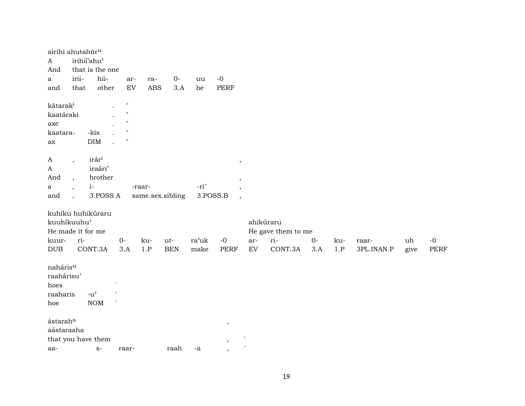| aírihi ahutahūr <sup>u</sup><br>$\mathbf{A}$<br>And<br>a<br>and | irii-<br>that                                                          | irihii'ahu'<br>that is the one<br>hii-<br>other             | ar-<br>EV                                               | ra-<br><b>ABS</b> | $O -$<br>3.A      | uu<br>be      | $-0$<br><b>PERF</b>                            |                                   |                                 |              |              |                     |            |              |
|-----------------------------------------------------------------|------------------------------------------------------------------------|-------------------------------------------------------------|---------------------------------------------------------|-------------------|-------------------|---------------|------------------------------------------------|-----------------------------------|---------------------------------|--------------|--------------|---------------------|------------|--------------|
| kãtarak <sup>i</sup><br>kaatáraki<br>axe<br>kaatara-<br>ax      |                                                                        | -kis<br>DIM                                                 | $\pmb{\mathsf{H}}$<br>$\pmb{\mathsf{H}}$<br>$^{\prime}$ |                   |                   |               |                                                |                                   |                                 |              |              |                     |            |              |
| A<br>$\boldsymbol{A}$<br>And<br>a<br>and                        | $\overline{\phantom{a}}$<br>$\cdot$<br>$\cdot$<br>$\ddot{\phantom{0}}$ | irár <sup>i</sup><br>iraári'<br>brother<br>$i-$<br>3.POSS.A |                                                         | -raar-            | same.sex.sibling  | -ri'          | ,<br>,<br>3.POSS.B<br>$\overline{\phantom{a}}$ |                                   |                                 |              |              |                     |            |              |
| kuuhíkuuhu'<br>He made it for me                                |                                                                        | kuhíku huhikúraru                                           |                                                         |                   |                   |               |                                                |                                   | ahikúraru<br>He gave them to me |              |              |                     |            |              |
| kuur-<br>$\rm DUB$                                              | ri-                                                                    | CONT.3A                                                     | $0-$<br>3.A                                             | ku-<br>1.P        | ut-<br><b>BEN</b> | ra'uk<br>make | $-0$<br><b>PERF</b>                            | ar-<br>$\mathop{\rm EV}\nolimits$ | ri-<br>CONT.3A                  | $O -$<br>3.A | ku-<br>$1.P$ | raar-<br>3PL.INAN.P | uh<br>give | $-0$<br>PERF |
| naháris <sup>u</sup><br>raahárisu'<br>hoes<br>raaharis<br>hoe   |                                                                        | $-u$ <sup><math>\prime</math></sup><br>$\rm{NOM}$           |                                                         |                   |                   |               |                                                |                                   |                                 |              |              |                     |            |              |
| ástarah <sup>a</sup><br>aástaraaha                              |                                                                        |                                                             |                                                         |                   |                   |               | $\,$                                           |                                   |                                 |              |              |                     |            |              |
| aa-                                                             |                                                                        | that you have them<br>$S-$                                  | raar-                                                   |                   | raah              | -a            | $\,$                                           |                                   |                                 |              |              |                     |            |              |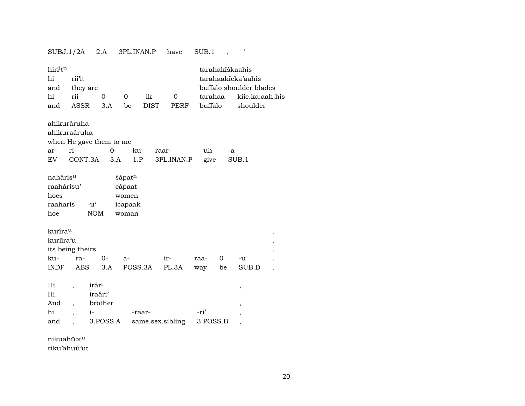|                                                               | SUBJ.1/2A                                                    | 2.A                                                 | 3PL.INAN.P                                    |                            | have         | SUB.1              |                 |                                                                              |  |
|---------------------------------------------------------------|--------------------------------------------------------------|-----------------------------------------------------|-----------------------------------------------|----------------------------|--------------|--------------------|-----------------|------------------------------------------------------------------------------|--|
| hirī <sup>i</sup> t <sup>n</sup><br>hi<br>and<br>hi<br>and    | rií'it<br>they are<br>rii-<br>ASSR                           | $0-$<br>3.A                                         | $\Omega$<br>be                                | -ik<br><b>DIST</b>         | $-0$<br>PERF | tarahaa<br>buffalo | tarahakíškaahis | tarahaakicka'aahis<br>buffalo shoulder blades<br>kiic.ka.aah.his<br>shoulder |  |
| ahikuráruha<br>ar-<br>EV.                                     | ahikuraáruha<br>ri-<br>CONT.3A                               | when He gave them to me<br>0-<br>3.A                | ku-<br>1.P                                    | raar-                      | 3PL.INAN.P   | uh<br>give         | -a              | SUB.1                                                                        |  |
| naháris <sup>u</sup><br>raahárisu'<br>hoes<br>raaharis<br>hoe | $-u^{\prime}$                                                | <b>NOM</b>                                          | šápatn<br>cápaat<br>women<br>icapaak<br>woman |                            |              |                    |                 |                                                                              |  |
| kuríra <sup>u</sup><br>kuriíra'u<br>ku-<br><b>INDF</b>        | its being theirs<br>ra-<br>ABS                               | $0-$<br>3.A                                         | a-<br>POSS.3A                                 |                            | ir-<br>PL.3A | raa-<br>way        | 0<br>be         | -u<br>SUB.D                                                                  |  |
| Hi<br>Hi<br>And<br>hi<br>and                                  | $\overline{\phantom{a}}$<br>$\overline{\phantom{a}}$<br>$i-$ | irár <sup>i</sup><br>iraári'<br>brother<br>3.POSS.A |                                               | -raar-<br>same.sex.sibling |              | -ri'<br>3.POSS.B   |                 | ,<br>,<br>,<br>$\overline{\phantom{a}}$                                      |  |

nikuahūət $^{\rm n}$ riku'ahuú'ut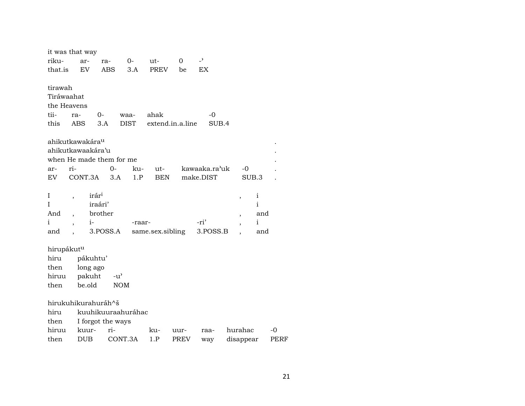|                                       | it was that way                  |                          |                     |                          |             |                |                          |              |
|---------------------------------------|----------------------------------|--------------------------|---------------------|--------------------------|-------------|----------------|--------------------------|--------------|
| riku-                                 | ar-                              | ra-                      | $0-$                | ut-                      | 0           | $\overline{a}$ |                          |              |
| that.is                               | EV                               | <b>ABS</b>               | 3.A                 | PREV                     | be          | EX             |                          |              |
| tirawah<br>Tiráwaahat<br>tii-<br>this | the Heavens<br>ra-<br>ABS        | $0-$<br>3.A              | waa-<br><b>DIST</b> | ahak<br>extend.in.a.line |             | $-0$<br>SUB.4  |                          |              |
|                                       | ahikutkawakára <sup>u</sup>      |                          |                     |                          |             |                |                          |              |
|                                       | ahikutkawaakára'u                |                          |                     |                          |             |                |                          |              |
|                                       |                                  | when He made them for me |                     |                          |             |                |                          |              |
| ar-                                   | ri-                              | 0-                       | ku-                 | ut-                      |             | kawaaka.ra'uk  | -0                       |              |
| EV                                    | CONT.3A                          | 3.A                      | 1.P                 | <b>BEN</b>               |             | make.DIST      |                          | SUB.3        |
| I                                     |                                  | irár <sup>i</sup>        |                     |                          |             |                |                          | $\mathbf{i}$ |
| T                                     | $\overline{ }$                   | iraári'                  |                     |                          |             |                | $\overline{\phantom{a}}$ | $\mathbf{i}$ |
| And                                   | $\overline{\phantom{a}}$         | brother                  |                     |                          |             |                |                          | and          |
| i                                     | $i-$<br>$\overline{\phantom{a}}$ |                          | -raar-              |                          |             | -ri'           | $\overline{\phantom{a}}$ | i            |
| and                                   |                                  | 3.POSS.A                 |                     | same.sex.sibling         |             | 3.POSS.B       |                          | and          |
|                                       |                                  |                          |                     |                          |             |                |                          |              |
| hirupákut <sup>u</sup>                |                                  |                          |                     |                          |             |                |                          |              |
| hiru                                  | pákuhtu'                         |                          |                     |                          |             |                |                          |              |
| then                                  | long ago                         |                          |                     |                          |             |                |                          |              |
| hiruu                                 | pakuht                           | $-u^{\prime}$            |                     |                          |             |                |                          |              |
| then                                  | be.old                           | <b>NOM</b>               |                     |                          |             |                |                          |              |
|                                       |                                  | hirukuhikurahuráh^š      |                     |                          |             |                |                          |              |
| hiru                                  |                                  | kuuhikuuraahuráhac       |                     |                          |             |                |                          |              |
| then                                  |                                  | I forgot the ways        |                     |                          |             |                |                          |              |
| hiruu                                 | kuur-                            | ri-                      |                     | ku-                      | uur-        | raa-           | hurahac                  |              |
| then                                  | <b>DUB</b>                       |                          | CONT.3A             | 1.P                      | <b>PREV</b> | way            | disappear                |              |

 $\mbox{-}0$ PERF

 $\ddot{\phantom{a}}$  $\ddot{\phantom{a}}$ 

 $\ddot{\phantom{a}}$  $\bullet$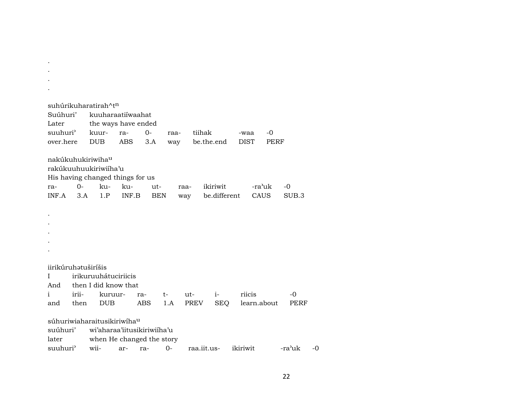|                     |       | suhúrikuharatirah^t <sup>n</sup>     |       |      |            |             |              |             |      |        |      |
|---------------------|-------|--------------------------------------|-------|------|------------|-------------|--------------|-------------|------|--------|------|
| Suúhuri'            |       | kuuharaatiiwaahat                    |       |      |            |             |              |             |      |        |      |
| Later               |       | the ways have ended                  |       |      |            |             |              |             |      |        |      |
| suuhuri'            |       | kuur-                                | ra-   | $0-$ | raa-       | tiihak      |              | -waa        | $-0$ |        |      |
| over.here           |       | <b>DUB</b>                           | ABS   | 3.A  | way        |             | be.the.end   | <b>DIST</b> | PERF |        |      |
|                     |       |                                      |       |      |            |             |              |             |      |        |      |
|                     |       | nakúkuhukiriwiha <sup>u</sup>        |       |      |            |             |              |             |      |        |      |
|                     |       | rakúkuuhuukiriwiíha'u                |       |      |            |             |              |             |      |        |      |
|                     |       | His having changed things for us     |       |      |            |             |              |             |      |        |      |
| ra-                 | $0-$  | ku- ku-                              |       | ut-  | raa-       |             | ikiriwit     | -ra'uk      |      | $-0$   |      |
| $INF.A$ 3.A         |       | 1.P                                  | INF.B | BEN  | way        |             | be.different | CAUS        |      | SUB.3  |      |
|                     |       |                                      |       |      |            |             |              |             |      |        |      |
|                     |       |                                      |       |      |            |             |              |             |      |        |      |
|                     |       |                                      |       |      |            |             |              |             |      |        |      |
|                     |       |                                      |       |      |            |             |              |             |      |        |      |
|                     |       |                                      |       |      |            |             |              |             |      |        |      |
|                     |       |                                      |       |      |            |             |              |             |      |        |      |
|                     |       |                                      |       |      |            |             |              |             |      |        |      |
| iirikūruhətuširíšis |       |                                      |       |      |            |             |              |             |      |        |      |
| I                   |       | irikuruuhátuciriicis                 |       |      |            |             |              |             |      |        |      |
|                     |       | And then I did know that             |       |      |            |             |              |             |      |        |      |
| $\mathbf{i}$        | irii- | kuruur-                              | ra-   |      | $t \qquad$ | ut-         | $i-$         | riicis      |      | $-0$   |      |
| and                 | then  | <b>DUB</b>                           |       | ABS  | 1.A        | PREV        | SEQ          | learn.about |      | PERF   |      |
|                     |       |                                      |       |      |            |             |              |             |      |        |      |
|                     |       | súhuriwiaharaitusikiriwíhau          |       |      |            |             |              |             |      |        |      |
|                     |       | suúhuri' wi'aharaa'iitusikiriwiíha'u |       |      |            |             |              |             |      |        |      |
| later               |       | when He changed the story            |       |      |            |             |              |             |      |        |      |
| suuhuri'            |       | wii-                                 | ar-   | ra-  | 0-         | raa.iit.us- |              | ikiriwit    |      | -ra'uk | $-0$ |

. . .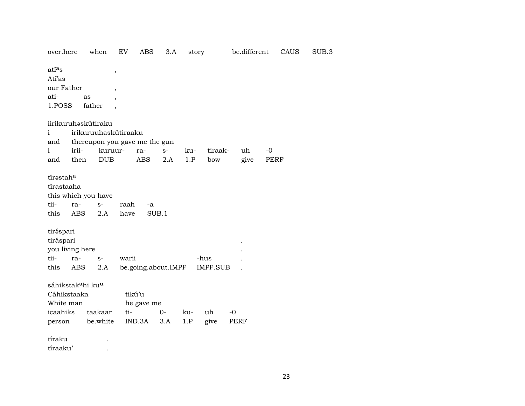| over.here                                 |       | when                          | EV                       | ABS                 | 3.A   | story |          | be.different |      | CAUS | SUB.3 |
|-------------------------------------------|-------|-------------------------------|--------------------------|---------------------|-------|-------|----------|--------------|------|------|-------|
| atías<br>Atí'as                           |       |                               | $\,$                     |                     |       |       |          |              |      |      |       |
| our Father                                |       |                               | $\overline{\phantom{a}}$ |                     |       |       |          |              |      |      |       |
| ati-                                      |       | as                            |                          |                     |       |       |          |              |      |      |       |
| 1.POSS                                    |       | father                        |                          |                     |       |       |          |              |      |      |       |
|                                           |       | iirikuruhaskútiraku           |                          |                     |       |       |          |              |      |      |       |
| $\mathbf{i}$                              |       | irikuruuhaskútiraaku          |                          |                     |       |       |          |              |      |      |       |
| and                                       |       | thereupon you gave me the gun |                          |                     |       |       |          |              |      |      |       |
| i                                         | irii- |                               | kuruur-                  | ra-                 | $S-$  | ku-   | tiraak-  | uh           | -0   |      |       |
| and                                       | then  | <b>DUB</b>                    |                          | <b>ABS</b>          | 2.A   | 1.P   | bow      | give         | PERF |      |       |
|                                           |       |                               |                          |                     |       |       |          |              |      |      |       |
| tírastaha                                 |       |                               |                          |                     |       |       |          |              |      |      |       |
| tírastaaha                                |       |                               |                          |                     |       |       |          |              |      |      |       |
|                                           |       | this which you have           |                          |                     |       |       |          |              |      |      |       |
| tii-                                      | ra-   | $S-$                          | raah                     | -a                  |       |       |          |              |      |      |       |
| this                                      | ABS   | 2.A                           | have                     |                     | SUB.1 |       |          |              |      |      |       |
|                                           |       |                               |                          |                     |       |       |          |              |      |      |       |
| tiráspari                                 |       |                               |                          |                     |       |       |          |              |      |      |       |
| tiráspari                                 |       |                               |                          |                     |       |       |          |              |      |      |       |
| you living here<br>tii-                   | ra-   |                               | warii                    |                     |       |       | -hus     |              |      |      |       |
| this                                      |       | $S-$                          |                          |                     |       |       |          |              |      |      |       |
|                                           | ABS   | 2.A                           |                          | be.going.about.IMPF |       |       | IMPF.SUB |              |      |      |       |
| sáhikstak <sup>a</sup> hi ku <sup>u</sup> |       |                               |                          |                     |       |       |          |              |      |      |       |
| Cáhikstaaka                               |       |                               |                          | tikú'u              |       |       |          |              |      |      |       |
| White man                                 |       |                               |                          | he gave me          |       |       |          |              |      |      |       |
| icaahiks                                  |       | taakaar                       | ti-                      |                     | $0-$  | ku-   | uh       | $-0$         |      |      |       |
| person                                    |       | be.white                      |                          | IND.3A              | 3.A   | 1.P   | give     | PERF         |      |      |       |
|                                           |       |                               |                          |                     |       |       |          |              |      |      |       |
| tíraku                                    |       |                               |                          |                     |       |       |          |              |      |      |       |
| tíraaku'                                  |       |                               |                          |                     |       |       |          |              |      |      |       |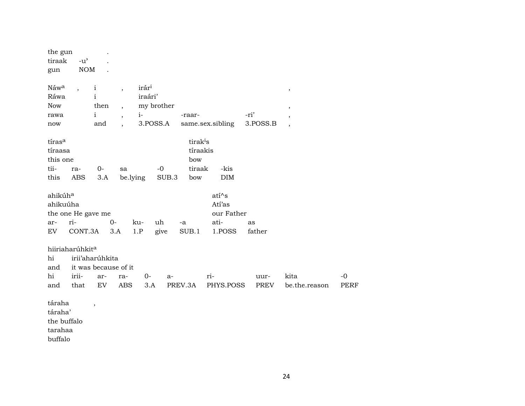| the gun<br>tiraak<br>gun                                           | $-u$ <sup><math>\prime</math></sup><br>$\rm{NOM}$        |                                                             |                                                                    |                                      |                        |                                                          |                                                 |                  |                          |                     |
|--------------------------------------------------------------------|----------------------------------------------------------|-------------------------------------------------------------|--------------------------------------------------------------------|--------------------------------------|------------------------|----------------------------------------------------------|-------------------------------------------------|------------------|--------------------------|---------------------|
| Náwa<br>Ráwa<br><b>Now</b><br>rawa<br>now                          | $\overline{\phantom{a}}$                                 | $\mathbf{i}$<br>$\mathbf{i}$<br>then<br>$\mathbf{i}$<br>and | $\overline{\phantom{a}}$<br>$\overline{ }$<br>$\ddot{\phantom{0}}$ | irár <sup>i</sup><br>iraári'<br>$i-$ | my brother<br>3.POSS.A | -raar-                                                   | same.sex.sibling                                | -ri'<br>3.POSS.B | $\pmb{\mathcal{I}}$<br>, |                     |
| tíras <sup>a</sup><br>tíraasa<br>this one<br>tii-<br>this          | ra-<br>ABS                                               | 0-<br>3.A                                                   | sa                                                                 | be.lying                             | $-0$<br>SUB.3          | tirak <sup>i</sup> s<br>tíraakis<br>bow<br>tiraak<br>bow | -kis<br><b>DIM</b>                              |                  |                          |                     |
| ahikúh <sup>a</sup><br>ahikuúha<br>the one He gave me<br>ar-<br>EV | ri-<br>CONT.3A                                           |                                                             | $0-$<br>3.A                                                        | ku-<br>1.P                           | uh<br>give             | -a<br>SUB.1                                              | atí^s<br>Atí'as<br>our Father<br>ati-<br>1.POSS | as<br>father     |                          |                     |
| hiiriaharúhkita<br>hi<br>and<br>hi<br>and                          | irii'aharúhkita<br>it was because of it<br>irii-<br>that | ar-<br>EV                                                   | ra-<br><b>ABS</b>                                                  | $0-$                                 | a-<br>3.A              | PREV.3A                                                  | ri-<br>PHYS.POSS                                | uur-<br>PREV     | kita<br>be.the.reason    | $-0$<br><b>PERF</b> |
| táraha<br>táraha'<br>the buffalo<br>tarahaa                        |                                                          | $\overline{\phantom{a}}$                                    |                                                                    |                                      |                        |                                                          |                                                 |                  |                          |                     |

buffalo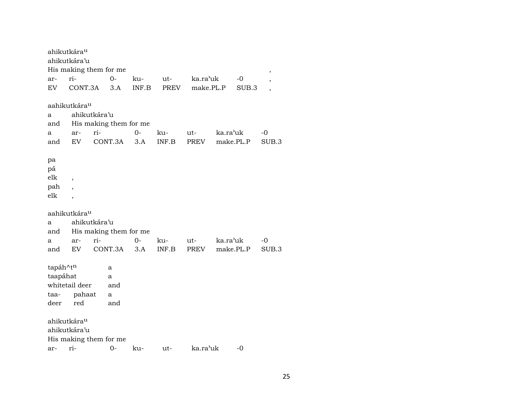ahikutkáraµ ahikutkára'u His making them for me , ar- ri- 0- ku- ut- ka.ra"uk -0 , EV CONT.3A 3.A INF.B PREV make.PL.P SUB.3 , aahikutkáraµ a ahikutkára'u and His making them for me a ar- ri- 0- ku- ut- ka.ra"uk -0 and EV CONT.3A 3.A INF.B PREV make.PL.P SUB.3 pa pá elk , pah , elk , aahikutkáraµ a ahikutkára'u and His making them for me a ar- ri- 0- ku- ut- ka.ra"uk -0 and EV CONT.3A 3.A INF.B PREV make.PL.P SUB.3  $\text{tapá}h^{\wedge}\text{t}^{\text{n}}$  a taapáhat a whitetail deer and taa- pahaat a deer red and ahikutkáraµ ahikutkára'u His making them for me ar- ri- 0- ku- ut- ka.ra"uk -0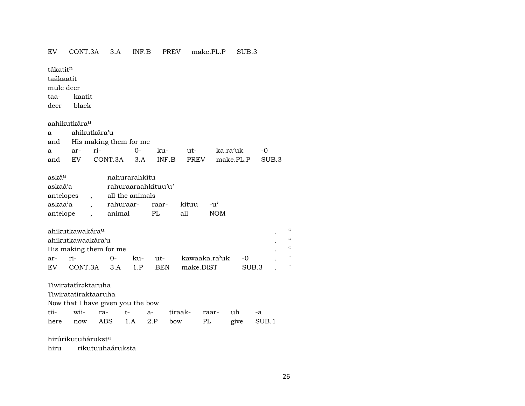#### EV CONT.3A 3.A INF.B PREV make.PL.P SUB.3

tákatit<sup>n</sup> taákaatit mule deer

taa- kaatit

deer black

aahikutkáraµ

|                            | a ahikutkára'u |  |  |  |                                                              |  |  |  |  |  |  |
|----------------------------|----------------|--|--|--|--------------------------------------------------------------|--|--|--|--|--|--|
| and His making them for me |                |  |  |  |                                                              |  |  |  |  |  |  |
|                            |                |  |  |  | a ar- ri-        0-     ku-      ut-       ka.ra'uk       -0 |  |  |  |  |  |  |
|                            |                |  |  |  | and EV CONT.3A 3.A INF.B PREV make.PL.P SUB.3                |  |  |  |  |  |  |

| askáª     |                          | nahurarahkítu       |     |       |                    |
|-----------|--------------------------|---------------------|-----|-------|--------------------|
| askaá'a   |                          | rahuraaraahkituu'u' |     |       |                    |
| antelopes | $\overline{\phantom{a}}$ | all the animals     |     |       |                    |
| askaa'a   |                          | rahuraar- raar-     |     | kituu | $-11$ <sup>'</sup> |
| antelope  |                          | animal              | PL. | all   | NOM.               |
|           |                          |                     |     |       |                    |

|       | ahikutkawakára <sup>u</sup> |           |            |                       |                  |  |
|-------|-----------------------------|-----------|------------|-----------------------|------------------|--|
|       | ahikutkawaakára'u           |           |            |                       |                  |  |
|       | His making them for me      |           |            |                       |                  |  |
| $ar-$ | $ri-$                       | <u>ດ-</u> |            | ku- ut- kawaaka.ra'uk | $\sim$ -0        |  |
| EV    | $CONT.3A \t3A \t1P$         |           | <b>REN</b> | make DIST             | SUB <sub>3</sub> |  |

Tiwirətatírəktaruha

Tiwiratatíraktaaruha

Now that I have given you the bow

|  |  | tii- wii- ra- t- a- tiraak- raar- uh -a |  |  |
|--|--|-----------------------------------------|--|--|
|  |  | here now ABS 1.A 2.P bow PL give SUB.1  |  |  |

hirúrikutuhárukst $^a$ 

hiru rikutuuhaáruksta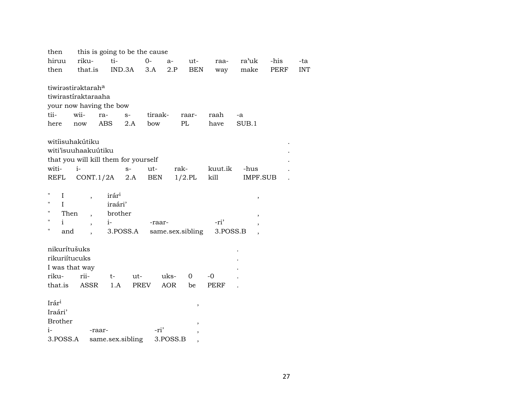| then                    |                                              |                   | this is going to be the cause |                  |           |            |          |                 |             |            |
|-------------------------|----------------------------------------------|-------------------|-------------------------------|------------------|-----------|------------|----------|-----------------|-------------|------------|
| hiruu                   | riku-                                        | ti-               | $O -$                         | $a-$             |           | ut-        | raa-     | ra'uk           | -his        | -ta        |
| then                    | that.is                                      | IND.3A            |                               | 3.A              | 2.P       | <b>BEN</b> | way      | make            | <b>PERF</b> | <b>INT</b> |
|                         |                                              |                   |                               |                  |           |            |          |                 |             |            |
|                         | tiwirəstirəktarah <sup>a</sup>               |                   |                               |                  |           |            |          |                 |             |            |
|                         | tiwirastíraktaraaha                          |                   |                               |                  |           |            |          |                 |             |            |
|                         | your now having the bow                      |                   |                               |                  |           |            |          |                 |             |            |
| tii-                    | wii-                                         | ra-               | $S-$                          | tiraak-          | raar-     |            | raah     | -a              |             |            |
| here                    | $\operatorname{now}$                         | <b>ABS</b>        | 2.A                           | bow              | $\rm PL$  |            | have     | SUB.1           |             |            |
|                         |                                              |                   |                               |                  |           |            |          |                 |             |            |
|                         | witiisuhakútiku                              |                   |                               |                  |           |            |          |                 |             |            |
|                         | witi'isuuhaakuútiku                          |                   |                               |                  |           |            |          |                 |             |            |
| witi-                   | that you will kill them for yourself<br>$i-$ |                   |                               | ut-              | rak-      |            | kuut.ik  | -hus            |             |            |
| REFL                    | $CONT.1/2A$ 2.A                              |                   | $S-$                          | BEN              | $1/2$ .PL |            | kill     | <b>IMPF.SUB</b> |             |            |
|                         |                                              |                   |                               |                  |           |            |          |                 |             |            |
| 11<br>$\mathbf{I}$      | $\overline{\phantom{a}}$                     | irár <sup>i</sup> |                               |                  |           |            |          |                 |             |            |
| $\pmb{\mathsf{H}}$<br>L |                                              | iraári'           |                               |                  |           |            |          | $\, ,$          |             |            |
| п<br>Then               | $\ddot{\phantom{0}}$                         | brother           |                               |                  |           |            |          |                 |             |            |
| $\pmb{\mathsf{H}}$<br>i | $\overline{\phantom{a}}$                     | $i-$              |                               | -raar-           |           |            | -ri'     |                 |             |            |
| п<br>and                | $\ddot{\phantom{0}}$                         |                   | 3.POSS.A                      | same.sex.sibling |           |            | 3.POSS.B |                 |             |            |
|                         |                                              |                   |                               |                  |           |            |          |                 |             |            |
| nikurítušuks            |                                              |                   |                               |                  |           |            |          |                 |             |            |
| rikuriítucuks           |                                              |                   |                               |                  |           |            |          |                 |             |            |
|                         | I was that way                               |                   |                               |                  |           |            |          |                 |             |            |
| riku-                   | rii-                                         | $t-$              | $ut -$                        | uks-             | $\Omega$  |            | $-0$     |                 |             |            |
| that.is                 | <b>ASSR</b>                                  | 1.A               | PREV                          | <b>AOR</b>       | be        |            | PERF     |                 |             |            |
|                         |                                              |                   |                               |                  |           |            |          |                 |             |            |
| Irár <sup>i</sup>       |                                              |                   |                               |                  |           | $\, ,$     |          |                 |             |            |
| Iraári'                 |                                              |                   |                               |                  |           |            |          |                 |             |            |
| <b>Brother</b>          |                                              |                   |                               |                  |           | ,          |          |                 |             |            |
| i-                      | -raar-                                       |                   |                               | -ri'             |           |            |          |                 |             |            |
| 3.POSS.A                |                                              | same.sex.sibling  |                               | 3.POSS.B         |           | ,          |          |                 |             |            |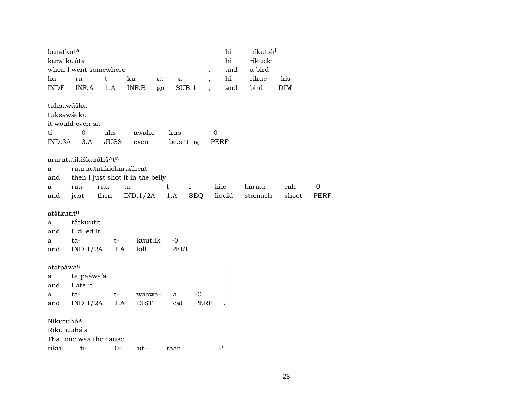|       | kuratkūta  |                                                              |                        |                                  |      |                   |      |                          | hi     | níkutski |            |      |
|-------|------------|--------------------------------------------------------------|------------------------|----------------------------------|------|-------------------|------|--------------------------|--------|----------|------------|------|
|       |            | kuratkuúta                                                   |                        |                                  |      |                   |      |                          | hi     | ríkucki  |            |      |
|       |            |                                                              | when I went somewhere  |                                  |      |                   |      | $\overline{\phantom{a}}$ | and    | a bird   |            |      |
| ku-   |            | ra-                                                          | t-                     | ku-                              | at   | -a                |      | $\ddot{\phantom{0}}$     | hi     | rikuc    | -kis       |      |
| INDF  |            | INF.A                                                        | 1.A                    | INF.B                            | go   | SUB.1             |      | $\ddot{\phantom{a}}$     | and    | bird     | <b>DIM</b> |      |
| ti-   | IND.3A     | tuksawášku<br>tuksawácku<br>it would even sit<br>$O-$<br>3.A | uks-<br><b>JUSS</b>    | awahc-<br>even                   |      | kus<br>be.sitting |      | $-0$<br>PERF             |        |          |            |      |
|       |            |                                                              | ararutatikiškaráhš^tn  |                                  |      |                   |      |                          |        |          |            |      |
| a     |            |                                                              | raaruutatikickaraáhcat |                                  |      |                   |      |                          |        |          |            |      |
| and   |            |                                                              |                        | then I just shot it in the belly |      |                   |      |                          |        |          |            |      |
| a     |            | raa-                                                         | ruu-                   | ta-                              | $t-$ |                   | $i-$ | kiic-                    |        | karaar-  | cak        | -0   |
| and   |            | just                                                         | then                   | IND.1/2A                         | 1.A  |                   | SEQ  |                          | liquid | stomach  | shoot      | PERF |
|       |            |                                                              |                        |                                  |      |                   |      |                          |        |          |            |      |
|       | atátkutitn |                                                              |                        |                                  |      |                   |      |                          |        |          |            |      |
| a     |            | tátkuutit                                                    |                        |                                  |      |                   |      |                          |        |          |            |      |
| and   |            | I killed it                                                  |                        |                                  |      |                   |      |                          |        |          |            |      |
| a     |            | ta-                                                          | $t-$                   | kuut.ik                          |      | $-0$              |      |                          |        |          |            |      |
| and   |            | IND.1/2A                                                     | 1.A                    | kill                             |      | PERF              |      |                          |        |          |            |      |
|       | atatpáwaa  |                                                              |                        |                                  |      |                   |      |                          |        |          |            |      |
| a     |            | tatpaáwa'a                                                   |                        |                                  |      |                   |      |                          |        |          |            |      |
| and   |            | I ate it                                                     |                        |                                  |      |                   |      |                          |        |          |            |      |
| a     |            | ta-                                                          | $t-$                   | waawa-                           |      | a                 | $-0$ |                          |        |          |            |      |
| and   |            |                                                              | $IND.1/2A$ 1.A         | <b>DIST</b>                      |      | eat               | PERF |                          |        |          |            |      |
|       |            |                                                              |                        |                                  |      |                   |      |                          |        |          |            |      |
|       | Nikutuháa  |                                                              |                        |                                  |      |                   |      |                          |        |          |            |      |
|       |            | Rikutuuhá'a                                                  |                        |                                  |      |                   |      |                          |        |          |            |      |
|       |            |                                                              | That one was the cause |                                  |      |                   |      |                          |        |          |            |      |
| riku- |            | ti-                                                          | $0-$                   | ut-                              | raar |                   |      | $\overline{\phantom{0}}$ |        |          |            |      |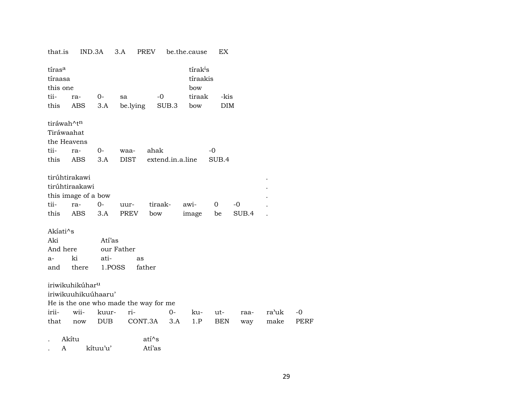| that.is                |                            |                                                                                                                            |                                                                       |                                                                                                                   | EX                                                            |                                                                   |                    |             |
|------------------------|----------------------------|----------------------------------------------------------------------------------------------------------------------------|-----------------------------------------------------------------------|-------------------------------------------------------------------------------------------------------------------|---------------------------------------------------------------|-------------------------------------------------------------------|--------------------|-------------|
| tírasa                 |                            |                                                                                                                            |                                                                       |                                                                                                                   |                                                               |                                                                   |                    |             |
|                        |                            |                                                                                                                            |                                                                       |                                                                                                                   |                                                               |                                                                   |                    |             |
|                        |                            |                                                                                                                            |                                                                       |                                                                                                                   |                                                               |                                                                   |                    |             |
| ra-                    |                            | sa                                                                                                                         |                                                                       |                                                                                                                   |                                                               |                                                                   |                    |             |
|                        |                            |                                                                                                                            |                                                                       |                                                                                                                   |                                                               |                                                                   |                    |             |
| tiráwah^t <sup>n</sup> |                            |                                                                                                                            |                                                                       |                                                                                                                   |                                                               |                                                                   |                    |             |
| Tiráwaahat             |                            |                                                                                                                            |                                                                       |                                                                                                                   |                                                               |                                                                   |                    |             |
| the Heavens            |                            |                                                                                                                            |                                                                       |                                                                                                                   |                                                               |                                                                   |                    |             |
| ra-                    | 0-                         | waa-                                                                                                                       |                                                                       |                                                                                                                   | $-0$                                                          |                                                                   |                    |             |
| ABS                    | 3.A                        | DIST                                                                                                                       |                                                                       |                                                                                                                   | SUB.4                                                         |                                                                   |                    |             |
|                        |                            |                                                                                                                            |                                                                       |                                                                                                                   |                                                               |                                                                   |                    |             |
|                        |                            |                                                                                                                            |                                                                       |                                                                                                                   |                                                               |                                                                   |                    |             |
|                        |                            |                                                                                                                            |                                                                       |                                                                                                                   |                                                               |                                                                   |                    |             |
| ra-                    | $0 -$                      | uur-                                                                                                                       | tiraak-                                                               |                                                                                                                   | 0                                                             | $-0$                                                              |                    |             |
| ABS                    | 3.A                        | PREV                                                                                                                       | bow                                                                   | image                                                                                                             | be                                                            | SUB.4                                                             |                    |             |
| Akiati^s               |                            |                                                                                                                            |                                                                       |                                                                                                                   |                                                               |                                                                   |                    |             |
|                        |                            |                                                                                                                            |                                                                       |                                                                                                                   |                                                               |                                                                   |                    |             |
| And here               |                            |                                                                                                                            |                                                                       |                                                                                                                   |                                                               |                                                                   |                    |             |
| ki                     | ati-                       | as                                                                                                                         |                                                                       |                                                                                                                   |                                                               |                                                                   |                    |             |
| there                  |                            |                                                                                                                            |                                                                       |                                                                                                                   |                                                               |                                                                   |                    |             |
|                        |                            |                                                                                                                            |                                                                       |                                                                                                                   |                                                               |                                                                   |                    |             |
|                        |                            |                                                                                                                            |                                                                       |                                                                                                                   |                                                               |                                                                   |                    |             |
|                        |                            |                                                                                                                            |                                                                       |                                                                                                                   |                                                               |                                                                   |                    |             |
| wii-                   |                            | ri-                                                                                                                        | $O -$                                                                 |                                                                                                                   |                                                               | raa-                                                              | ra'uk              | $-0$        |
| $\operatorname{now}$   | <b>DUB</b>                 |                                                                                                                            |                                                                       | 1.P                                                                                                               | <b>BEN</b>                                                    | way                                                               | make               | <b>PERF</b> |
| Akítu                  |                            |                                                                                                                            |                                                                       |                                                                                                                   |                                                               |                                                                   |                    |             |
| A                      |                            |                                                                                                                            |                                                                       |                                                                                                                   |                                                               |                                                                   |                    |             |
|                        | tíraasa<br>this one<br>ABS | IND.3A<br>$0-$<br>3.A<br>tirúhtirakawi<br>tirúhtiraakawi<br>this image of a bow<br>iriwikuhikúhar <sup>u</sup><br>kítuu'u' | 3.A<br>Atí'as<br>our Father<br>1.POSS<br>iriwikuuhikuúhaaru'<br>kuur- | PREV<br>$-0$<br>be.lying<br>ahak<br>father<br>He is the one who made the way for me<br>CONT.3A<br>atí^s<br>Atí'as | bow<br>SUB.3<br>bow<br>extend.in.a.line<br>awi-<br>ku-<br>3.A | be.the.cause<br>tírak <sup>i</sup> s<br>tíraakis<br>tiraak<br>ut- | -kis<br><b>DIM</b> |             |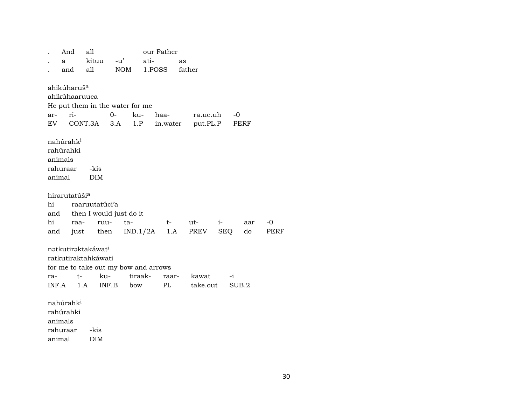|        | And                                                       | all                                                          |             |                                                 | our Father |        |          |           |      |
|--------|-----------------------------------------------------------|--------------------------------------------------------------|-------------|-------------------------------------------------|------------|--------|----------|-----------|------|
|        | a                                                         | kituu                                                        | $-u'$       | ati-                                            |            | as     |          |           |      |
|        | and                                                       | all                                                          | NOM         | 1.POSS                                          |            | father |          |           |      |
|        | ahikúharuš <sup>a</sup><br>ahikúhaaruuca                  |                                                              |             |                                                 |            |        |          |           |      |
|        |                                                           | He put them in the water for me                              |             |                                                 |            |        |          |           |      |
| ar-    | ri-                                                       |                                                              | $0-$        | ku-                                             | haa-       |        | ra.uc.uh | $-0$      |      |
| EV     |                                                           | CONT.3A                                                      | 3.A         | 1.P                                             | in.water   |        | put.PL.P | PERF      |      |
| animal | nahúrahk <sup>i</sup><br>rahúrahki<br>animals<br>rahuraar | -kis<br><b>DIM</b>                                           |             |                                                 |            |        |          |           |      |
|        | hirarutatúši <sup>a</sup>                                 |                                                              |             |                                                 |            |        |          |           |      |
| hi     |                                                           | raaruutatúci'a                                               |             |                                                 |            |        |          |           |      |
|        |                                                           | and then I would just do it                                  |             |                                                 |            |        |          |           |      |
| hi     | raa-                                                      |                                                              | ruu-<br>ta- |                                                 | $t \qquad$ | ut-    | $i$ -    | aar       | -0   |
| and    |                                                           |                                                              |             | just then IND.1/2A                              | 1.A        | PREV   |          | SEQ<br>do | PERF |
| ra-    | $t-$                                                      | nətkutirəktakáwat <sup>i</sup><br>ratkutiraktahkáwati<br>ku- |             | for me to take out my bow and arrows<br>tiraak- | raar-      | kawat  |          | $-i$      |      |
|        | $INF.A$ 1.A                                               |                                                              | INF.B       | bow                                             | PL         |        | take.out | SUB.2     |      |
|        |                                                           |                                                              |             |                                                 |            |        |          |           |      |
|        | nahúrahk <sup>i</sup><br>rahúrahki<br>animals<br>rahuraar | -kis                                                         |             |                                                 |            |        |          |           |      |
|        |                                                           |                                                              |             |                                                 |            |        |          |           |      |

animal DIM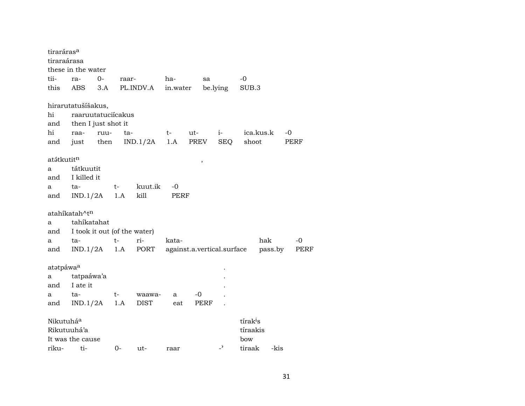| tiraráras <sup>a</sup>   |                                                                                 |              |       |                                              |                   |             |                          |                                         |         |            |
|--------------------------|---------------------------------------------------------------------------------|--------------|-------|----------------------------------------------|-------------------|-------------|--------------------------|-----------------------------------------|---------|------------|
| tiraraárasa              |                                                                                 |              |       |                                              |                   |             |                          |                                         |         |            |
|                          | these in the water                                                              |              |       |                                              |                   |             |                          |                                         |         |            |
| tii-                     | ra-                                                                             | $0-$         | raar- |                                              | ha-               | sa          |                          | $-0$                                    |         |            |
| this                     | ABS                                                                             | 3.A          |       | PL.INDV.A                                    | in.water          |             | be.lying                 | SUB.3                                   |         |            |
| hi<br>and<br>hi<br>and   | hirarutatušíšakus,<br>raaruutatuciícakus<br>then I just shot it<br>raa-<br>just | ruu-<br>then | ta-   | IND.1/2A                                     | $t \qquad$<br>1.A | ut-<br>PREV | $i$ - $\sim$<br>SEQ      | ica.kus.k<br>shoot                      |         | -0<br>PERF |
| atátkutit <sup>n</sup>   |                                                                                 |              |       |                                              |                   | ,           |                          |                                         |         |            |
| a                        | tátkuutit                                                                       |              |       |                                              |                   |             |                          |                                         |         |            |
| and                      | I killed it                                                                     |              |       |                                              |                   |             |                          |                                         |         |            |
| a                        | ta-                                                                             | $t-$         |       | kuut.ik                                      | -0                |             |                          |                                         |         |            |
| and                      | IND.1/2A                                                                        |              | 1.A   | kill                                         | PERF              |             |                          |                                         |         |            |
|                          | atahíkatah^tn                                                                   |              |       |                                              |                   |             |                          |                                         |         |            |
| a                        | tahíkatahat                                                                     |              |       |                                              |                   |             |                          |                                         |         |            |
| and                      | I took it out (of the water)                                                    |              |       |                                              |                   |             |                          |                                         |         |            |
| a                        | ta-                                                                             | $t-$         |       | ri-                                          | kata-             |             |                          |                                         | hak     | $-0$       |
| and                      |                                                                                 |              |       | IND.1/2A 1.A PORT against.a.vertical.surface |                   |             |                          |                                         | pass.by | PERF       |
|                          |                                                                                 |              |       |                                              |                   |             |                          |                                         |         |            |
| atatpáwa <sup>a</sup>    |                                                                                 |              |       |                                              |                   |             |                          |                                         |         |            |
| а                        | tatpaáwa'a                                                                      |              |       |                                              |                   |             |                          |                                         |         |            |
| and                      | I ate it                                                                        |              |       |                                              |                   | $-0$        |                          |                                         |         |            |
| a<br>and                 | ta-<br>$IND.1/2A$ 1.A                                                           | $t-$         |       | waawa-<br><b>DIST</b>                        | a<br>eat          | PERF        |                          |                                         |         |            |
|                          |                                                                                 |              |       |                                              |                   |             |                          |                                         |         |            |
| Nikutuháa<br>Rikutuuhá'a | It was the cause                                                                |              |       |                                              |                   |             |                          | tírak <sup>i</sup> s<br>tíraakis<br>bow |         |            |
| riku-                    | ti-                                                                             |              | $0-$  | ut-                                          | raar              |             | $\overline{\phantom{0}}$ | tiraak                                  | -kis    |            |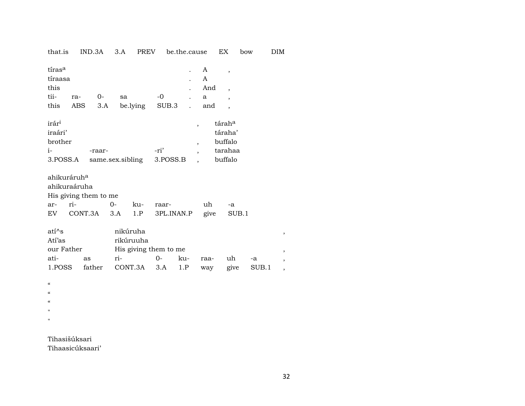IND.3A 3.A PREV be.the.cause EX bow that.is  $DIM$ 

| tíras <sup>a</sup><br>tíraasa<br>this<br>tii-<br>this       | ra- | 0-<br>ABS                           | 3.A  | sa                           | be.lying   | $-0$<br>SUB.3                      | $\ddot{\phantom{0}}$ |                                                                        | A<br>A<br>And<br>a<br>and | $\overline{\phantom{a}}$<br>$\overline{\phantom{a}}$<br>$\overline{\phantom{a}}$ |             |                               |
|-------------------------------------------------------------|-----|-------------------------------------|------|------------------------------|------------|------------------------------------|----------------------|------------------------------------------------------------------------|---------------------------|----------------------------------------------------------------------------------|-------------|-------------------------------|
| irár <sup>i</sup><br>iraári'<br>brother<br>$i-$<br>3.POSS.A |     | -raar-                              |      |                              |            | -ri'<br>same.sex.sibling 3.POSS.B  |                      | $\overline{ }$<br>$\overline{\phantom{a}}$<br>$\overline{\phantom{a}}$ |                           | tárah <sup>a</sup><br>táraha'<br>buffalo<br>tarahaa<br>buffalo                   |             |                               |
| ahikuráruh <sup>a</sup><br>ahikuraáruha<br>ar-              | ri- | His giving them to me<br>EV CONT.3A | $0-$ | 3.A                          | ku-<br>1.P | raar-                              | 3PL.INAN.P           |                                                                        | uh<br>give                | $-a$<br>SUB.1                                                                    |             |                               |
| ati^s<br>Atí'as<br>our Father<br>ati-<br>1.POSS             |     | as<br>father                        |      | nikúruha<br>rikúruuha<br>ri- | CONT.3A    | His giving them to me<br>0-<br>3.A | ku-<br>1.P           |                                                                        | raa-<br>way               | uh<br>give                                                                       | -a<br>SUB.1 | ,<br>,<br>,<br>$\overline{ }$ |
| $\epsilon$<br>$\epsilon$<br>$\epsilon$                      |     |                                     |      |                              |            |                                    |                      |                                                                        |                           |                                                                                  |             |                               |

 $\mathbf{u}$  $\bar{n}$ 

Tihasišúksari Tihaasicúksaari'  $\overline{\phantom{a}}$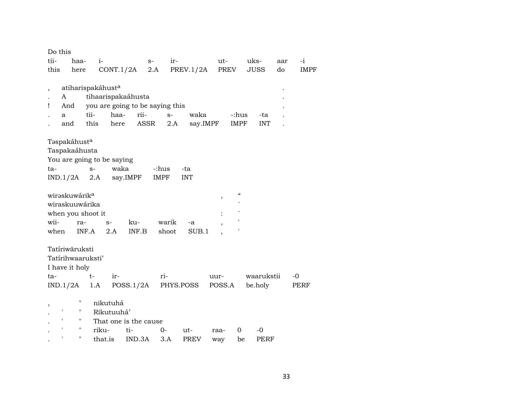| Do this                  |                           |                            |                                 |             |                |                                                           |                   |     |             |
|--------------------------|---------------------------|----------------------------|---------------------------------|-------------|----------------|-----------------------------------------------------------|-------------------|-----|-------------|
| tii-                     | haa-                      | $i-$                       | $S-$                            | ir-         |                | ut-                                                       | uks-              | aar | $-i$        |
| this                     | here                      | CONT.1/2A                  | 2.A                             |             | PREV.1/2A PREV |                                                           | <b>JUSS</b>       | do  | <b>IMPF</b> |
|                          |                           |                            |                                 |             |                |                                                           |                   |     |             |
| $\overline{\phantom{a}}$ |                           | atiharispakáhusta          |                                 |             |                |                                                           |                   |     |             |
| A                        |                           | tihaarispakaáhusta         |                                 |             |                |                                                           |                   |     |             |
| Ţ                        | And                       |                            | you are going to be saying this |             |                |                                                           |                   |     |             |
| a                        | tii-                      | haa-                       | rii-                            | $S-$        | waka           | -:hus                                                     | -ta               |     |             |
|                          | this<br>and               | here                       | ASSR                            | 2.A         | say.IMPF       | IMPF                                                      | <b>INT</b>        |     |             |
|                          |                           |                            |                                 |             |                |                                                           |                   |     |             |
|                          | Təspakáhust <sup>a</sup>  |                            |                                 |             |                |                                                           |                   |     |             |
|                          | Taspakaáhusta             |                            |                                 |             |                |                                                           |                   |     |             |
|                          |                           | You are going to be saying |                                 |             |                |                                                           |                   |     |             |
| ta-                      | $S-$                      | waka                       |                                 | -:hus       | -ta            |                                                           |                   |     |             |
| IND.1/2A                 |                           | 2.A                        | say.IMPF                        | <b>IMPF</b> | <b>INT</b>     |                                                           |                   |     |             |
|                          |                           |                            |                                 |             |                |                                                           |                   |     |             |
|                          | wiraskuwárik <sup>a</sup> |                            |                                 |             |                | $\boldsymbol{\varsigma} \boldsymbol{\varsigma}$<br>$\, ,$ |                   |     |             |
|                          | wiraskuuwárika            |                            |                                 |             |                |                                                           |                   |     |             |
|                          | when you shoot it         |                            |                                 |             |                |                                                           |                   |     |             |
| wii-                     | ra-                       | $S-$                       | ku-                             | warik       | -a             |                                                           |                   |     |             |
| when                     | INF.A                     | 2.A                        | INF.B                           | shoot       | SUB.1          |                                                           |                   |     |             |
|                          |                           |                            |                                 |             |                |                                                           |                   |     |             |
|                          | Tatíriwāruksti            |                            |                                 |             |                |                                                           |                   |     |             |
|                          | Tatírihwaaruksti'         |                            |                                 |             |                |                                                           |                   |     |             |
|                          | I have it holy            |                            |                                 |             |                |                                                           |                   |     |             |
| ta-                      | $t-$                      | ir-                        |                                 | ri-         |                | uur-                                                      | waarukstii        |     | $-0$        |
| IND.1/2A                 |                           | 1.A                        | POSS.1/2A                       | PHYS.POSS   |                | POSS.A                                                    | be.holy           |     | PERF        |
|                          |                           |                            |                                 |             |                |                                                           |                   |     |             |
|                          | $\pmb{\mathsf{H}}$        | nikutuhá                   |                                 |             |                |                                                           |                   |     |             |
| ١.                       | $\mathbf{H}$              | Rikutuuhá'                 |                                 |             |                |                                                           |                   |     |             |
| $\mathbf{I}$             | $\pmb{\mathsf{H}}$        |                            | That one is the cause           |             |                |                                                           |                   |     |             |
| $\pmb{\mathsf{r}}$       | $\pmb{\mathsf{H}}$        | riku-                      | ti-                             | $0-$        | ut-            | 0<br>raa-                                                 | $-0$              |     |             |
| ,                        | $\pmb{\mathsf{H}}$        | that.is                    | IND.3A                          | 3.A         | <b>PREV</b>    | way                                                       | <b>PERF</b><br>be |     |             |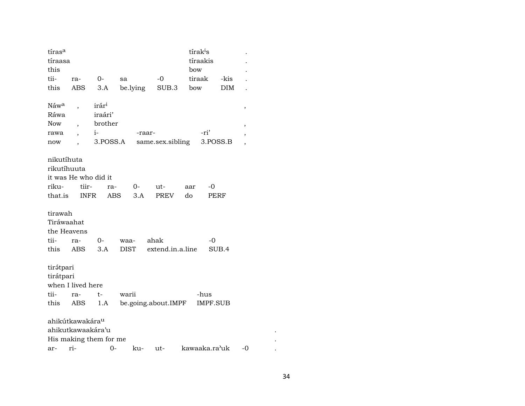| tíras <sup>a</sup> |                             |                        |             |                         | tírak <sup>i</sup> s |            |                          |
|--------------------|-----------------------------|------------------------|-------------|-------------------------|----------------------|------------|--------------------------|
| tíraasa            |                             |                        |             |                         | tíraakis             |            |                          |
| this               |                             |                        |             |                         | bow                  |            |                          |
| tii-               | ra-                         | $0-$                   | sa          | $-0$                    | tiraak               | -kis       |                          |
| this               | ABS                         | 3.A                    | be.lying    | SUB.3                   | bow                  | <b>DIM</b> |                          |
|                    |                             |                        |             |                         |                      |            |                          |
| Náw <sup>a</sup>   | $\overline{\phantom{a}}$    | irár <sup>i</sup>      |             |                         |                      |            | $\, ,$                   |
| Ráwa               |                             | iraári'                |             |                         |                      |            |                          |
| <b>Now</b>         | $\overline{\phantom{a}}$    | brother                |             |                         |                      |            | ,                        |
| rawa               | $\overline{\phantom{a}}$    | $i-$                   |             | -raar-                  | -ri'                 |            | ,                        |
| now                |                             | 3.POSS.A               |             | same.sex.sibling        |                      | 3.POSS.B   | $\overline{\phantom{a}}$ |
|                    |                             |                        |             |                         |                      |            |                          |
| nikutíhuta         |                             |                        |             |                         |                      |            |                          |
| rikutíhuuta        |                             |                        |             |                         |                      |            |                          |
|                    | it was He who did it        |                        |             |                         |                      |            |                          |
| riku-              | tiir-                       | ra-                    | 0-          | ut-                     | $-0$<br>aar          |            |                          |
| that.is            | INFR                        |                        | ABS<br>3.A  | PREV                    | do                   | PERF       |                          |
|                    |                             |                        |             |                         |                      |            |                          |
| tirawah            |                             |                        |             |                         |                      |            |                          |
| Tiráwaahat         |                             |                        |             |                         |                      |            |                          |
| the Heavens        |                             |                        |             |                         |                      |            |                          |
| tii-               | ra-                         | $0-$                   | waa-        | ahak                    | -0                   |            |                          |
| this               | <b>ABS</b>                  | 3.A                    | <b>DIST</b> | extend.in.a.line        |                      | SUB.4      |                          |
|                    |                             |                        |             |                         |                      |            |                          |
| tirátpari          |                             |                        |             |                         |                      |            |                          |
| tirátpari          |                             |                        |             |                         |                      |            |                          |
|                    | when I lived here           |                        |             |                         |                      |            |                          |
|                    |                             |                        |             |                         |                      |            |                          |
| tii-               | ra-                         | $t-$                   | warii       |                         | -hus                 |            |                          |
|                    | this ABS                    |                        |             | 1.A be.going.about.IMPF | <b>IMPF.SUB</b>      |            |                          |
|                    |                             |                        |             |                         |                      |            |                          |
|                    | ahikútkawakára <sup>u</sup> |                        |             |                         |                      |            |                          |
|                    | ahikutkawaakára'u           |                        |             |                         |                      |            |                          |
|                    |                             | His making them for me |             |                         |                      |            |                          |
|                    |                             | $\arctan 0$ -          |             | ku- ut- kawaaka.ra'uk   |                      |            | -0                       |

 $\ddot{\phantom{a}}$  $\sim$  $\langle \cdot \rangle$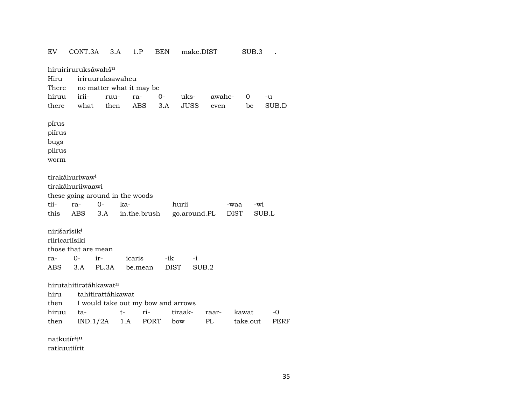EV CONT.3A 3.A 1.P BEN make.DIST SUB.3 . hiruiriruruksáwahš<sup>u</sup> Hiru iriruuruksawahcu There no matter what it may be hiruu irii- ruu- ra- 0- uks- awahc- 0 -u there what then ABS 3.A JUSS even be SUB.D pïrus piírus bugs piirus worm tirakáhuriwaw<sup>i</sup> tirakáhuriiwaawi these going around in the woods tii- ra- 0- ka- hurii -waa -wi this ABS 3.A in.the.brush go.around.PL DIST SUB.L nirišarísik<sup>i</sup> riiricariísiki those that are mean ra- 0- ir- icaris -ik -i ABS 3.A PL.3A be.mean DIST SUB.2 hirutahitiratáhkawatn hiru tahitirattáhkawat then I would take out my bow and arrows hiruu ta- t- ri- tiraak- raar- kawat -0 then IND.1/2A 1.A PORT bow PL take.out PERF natkutír<sup>i</sup>t<sup>n</sup>

ratkuutiírit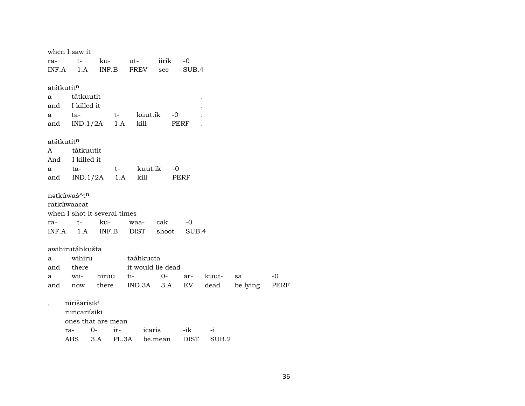|            | when I saw it            |                              |                          |                 |       |           |          |      |
|------------|--------------------------|------------------------------|--------------------------|-----------------|-------|-----------|----------|------|
| ra-        | $t-$                     |                              | ku- ut- iirik            |                 | $-0$  |           |          |      |
|            |                          |                              | INF.A 1.A INF.B PREV see |                 | SUB.4 |           |          |      |
|            |                          |                              |                          |                 |       |           |          |      |
| atátkutitn |                          |                              |                          |                 |       |           |          |      |
| a          | tátkuutit                |                              |                          |                 |       |           |          |      |
|            | and I killed it          |                              |                          |                 |       |           |          |      |
| a          | ta-                      | $t-$                         |                          | kuut.ik<br>$-0$ |       |           |          |      |
|            |                          | and $IND.1/2A$ 1.A           | kill                     | PERF            |       |           |          |      |
|            |                          |                              |                          |                 |       |           |          |      |
| atátkutitn |                          |                              |                          |                 |       |           |          |      |
|            | A tátkuutit              |                              |                          |                 |       |           |          |      |
|            | And I killed it          |                              |                          |                 |       |           |          |      |
| a          | ta-                      |                              | t- kuut.ik -0            |                 |       |           |          |      |
|            |                          | and $IND.1/2A$ 1.A           | kill                     |                 | PERF  |           |          |      |
|            | natkúwaš^tn              |                              |                          |                 |       |           |          |      |
|            | ratkúwaacat              |                              |                          |                 |       |           |          |      |
|            |                          | when I shot it several times |                          |                 |       |           |          |      |
| ra-        | $t-$                     | ku-                          |                          | waa- cak        | $-0$  |           |          |      |
|            |                          | $INF.A$ $1.A$ $INF.B$        | DIST                     | shoot           | SUB.4 |           |          |      |
|            |                          |                              |                          |                 |       |           |          |      |
|            | awihirutáhkušta          |                              |                          |                 |       |           |          |      |
| a          | wihiru                   |                              | taáhkucta                |                 |       |           |          |      |
|            | and there                |                              | it would lie dead        |                 |       |           |          |      |
| a          | wii-                     |                              | hiruu ti-                | $0-$            |       | ar- kuut- | sa       | $-0$ |
|            |                          | and now there                |                          | $IND.3A$ $3.A$  | EV    | dead      | be.lying | PERF |
|            |                          |                              |                          |                 |       |           |          |      |
|            | nirišarísik <sup>i</sup> |                              |                          |                 |       |           |          |      |
|            | riiricariisiki           |                              |                          |                 |       |           |          |      |
|            |                          | ones that are mean           |                          |                 |       |           |          |      |
|            | ra-                      | $O -$<br>ir-                 |                          | icaris          | -ik   | $-i$      |          |      |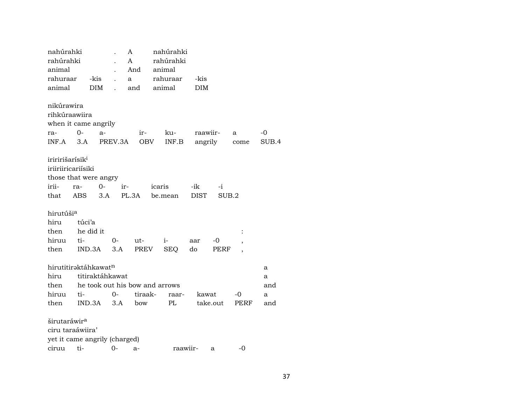| nahúrahki                   |                                | A                         |               | nahúrahki |             |       |       |
|-----------------------------|--------------------------------|---------------------------|---------------|-----------|-------------|-------|-------|
| rahúrahki                   |                                | A                         |               | rahúrahki |             |       |       |
| animal                      |                                |                           | And           | animal    |             |       |       |
| rahuraar                    | -kis                           | a<br>$\ddot{\phantom{a}}$ |               | rahuraar  | -kis        |       |       |
| animal                      | <b>DIM</b>                     | $\overline{a}$            | and           | animal    | DIM         |       |       |
|                             |                                |                           |               |           |             |       |       |
| nikúrawira                  |                                |                           |               |           |             |       |       |
| rihkúraawiira               |                                |                           |               |           |             |       |       |
|                             | when it came angrily           |                           |               |           |             |       |       |
| ra-                         | $O-$<br>$a-$                   |                           | ir-           | ku-       | raawiir-    | a     | -0    |
| $INF.A$ 3.A                 |                                | PREV.3A                   | OBV           | INF.B     | angrily     | come  | SUB.4 |
|                             |                                |                           |               |           |             |       |       |
| iriririšarísik <sup>i</sup> |                                |                           |               |           |             |       |       |
| iriiriiricariisiki          |                                |                           |               |           |             |       |       |
|                             | those that were angry          |                           |               |           |             |       |       |
| irii-                       | 0-<br>ra-                      | ir-                       |               | icaris    | -ik<br>$-i$ |       |       |
| that                        | ABS<br>3.A                     |                           | PL.3A be.mean |           | <b>DIST</b> | SUB.2 |       |
|                             |                                |                           |               |           |             |       |       |
| hirutúši <sup>a</sup>       |                                |                           |               |           |             |       |       |
| hiru                        | túci'a                         |                           |               |           |             |       |       |
| then                        | he did it                      |                           |               |           |             |       |       |
| hiruu                       | ti-                            | $0-$                      | $ut-$         | $i-$      | -0<br>aar   |       |       |
| then                        | IND.3A                         | 3.A                       | PREV          | SEQ       | do<br>PERF  |       |       |
|                             |                                |                           |               |           |             |       |       |
|                             | hirutitiraktáhkawatn           |                           |               |           |             |       | a     |
| hiru                        | titiraktáhkawat                |                           |               |           |             |       | a     |
| then                        | he took out his bow and arrows |                           |               |           |             |       | and   |
|                             | ti-                            | $0-$                      | tiraak-       | raar-     | kawat       | $-0$  | a     |
| hiruu                       |                                | 3.A                       | bow           | PL        | take.out    | PERF  | and   |
| then                        | IND.3A                         |                           |               |           |             |       |       |
|                             |                                |                           |               |           |             |       |       |
| širutaráwir <sup>a</sup>    |                                |                           |               |           |             |       |       |
| ciru taraáwiira'            |                                |                           |               |           |             |       |       |
|                             | yet it came angrily (charged)  |                           |               |           |             |       |       |

ciruu ti- $O$  $a$ raawiir- $\alpha$  -0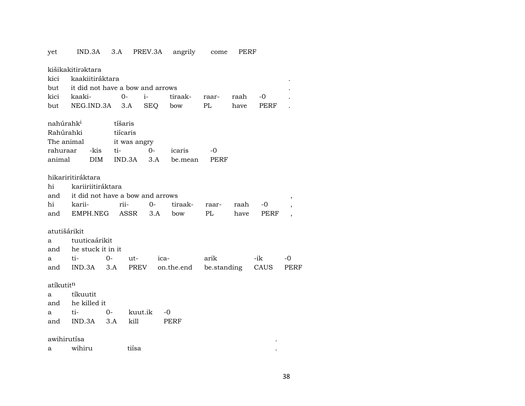yet IND.3A 3.A PREV.3A angrily come PERF kišikakitiraktara kici kaakiitiráktara . but it did not have a bow and arrows  $\sim$  . kici kaaki- 0- i- tiraak- raar- raah -0 . but NEG.IND.3A 3.A SEQ bow PL have PERF . nahúrahk<sup>i</sup> tíšaris Rahúrahki tiícaris The animal it was angry rahuraar -kis ti- 0- icaris -0 animal DIM IND.3A 3.A be.mean PERF hikariritiráktara hi kariiriitiráktara and  $\quad$  it did not have a bow and arrows  $\,$  ,  $\,$ hi karii- rii- 0- tiraak- raar- raah -0 , and EMPH.NEG ASSR 3.A bow PL have PERF , atutišárikit a tuuticaárikit and he stuck it in it a ti- 0- ut- ica- arik -ik -0 and IND.3A 3.A PREV on.the.end be.standing CAUS PERF atíkutit<sup>n</sup> a tíkuutit

and he killed it a ti- 0- kuut.ik -0 and IND.3A 3.A kill PERF

awihirutísa . a wihiru tiísa .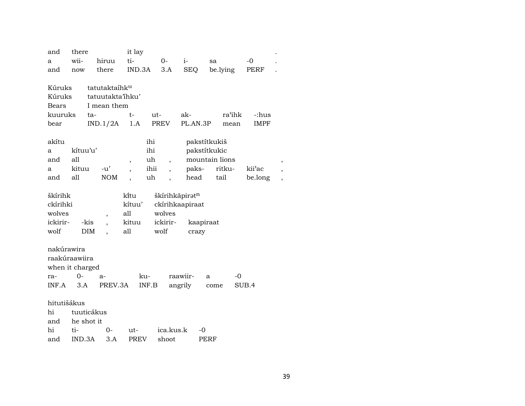| and             | there      |                           | it lay       |                          |                 |                |             |  |
|-----------------|------------|---------------------------|--------------|--------------------------|-----------------|----------------|-------------|--|
| a               | wii-       | hiruu                     | ti-          | $0-$                     | $i-$            | sa             | $-0$        |  |
| and             | now        | there                     | IND.3A       | 3.A                      | <b>SEQ</b>      | be.lying       | PERF        |  |
|                 |            |                           |              |                          |                 |                |             |  |
| Kúruks          |            | tatutaktaíhk <sup>u</sup> |              |                          |                 |                |             |  |
| Kúruks          |            | tatuutakta'ihku'          |              |                          |                 |                |             |  |
| <b>Bears</b>    |            | I mean them               |              |                          |                 |                |             |  |
| kuuruks         |            | ta-                       | t-           | ut-                      | ak-             | ra'ihk         | -:hus       |  |
| bear            |            | IND.1/2A                  | 1.A          | PREV                     | PL.AN.3P        | mean           | <b>IMPF</b> |  |
|                 |            |                           |              |                          |                 |                |             |  |
| akítu           |            |                           | ihi          |                          |                 | pakstítkukiš   |             |  |
| a               | kítuu'u'   |                           | ihi          |                          |                 | pakstítkukic   |             |  |
| and             | all        |                           | uh<br>$\, ,$ | $\overline{\phantom{a}}$ |                 | mountain lions |             |  |
| a               | kituu      | $-u'$                     | ihii         | $\ddot{\phantom{0}}$     | paks-           | ritku-         | kii'ac      |  |
| and             | all        | $\rm{NOM}$                | uh           |                          | head            | tail           | be.long     |  |
|                 |            |                           |              |                          |                 |                |             |  |
| škírihk         |            |                           | ki̇̃tu       | škírihkāpiratn           |                 |                |             |  |
| ckírihki        |            |                           | kítuu'       |                          | ckírihkaapiraat |                |             |  |
| wolves          |            | $\overline{\phantom{a}}$  | all          | wolves                   |                 |                |             |  |
| ickirir-        | -kis       |                           | kituu        | ickirir-                 | kaapiraat       |                |             |  |
| wolf            | DIM        | $\ddot{\phantom{0}}$      | all          | wolf                     | crazy           |                |             |  |
| nakúrawira      |            |                           |              |                          |                 |                |             |  |
| raakúraawiira   |            |                           |              |                          |                 |                |             |  |
|                 |            |                           |              |                          |                 |                |             |  |
| when it charged | $O -$      |                           | ku-          |                          | raawiir-        | $-0$           |             |  |
| ra-<br>INF.A    | 3.A        | $a-$<br>PREV.3A           |              |                          |                 | a              |             |  |
|                 |            |                           | INF.B        |                          | angrily         | come           | SUB.4       |  |
| hitutišákus     |            |                           |              |                          |                 |                |             |  |
| hi              |            | tuuticákus                |              |                          |                 |                |             |  |
| and             | he shot it |                           |              |                          |                 |                |             |  |
| hi              | ti-        | $0-$                      | ut-          | ica.kus.k                | -0              |                |             |  |
| and             | IND.3A     | 3.A                       | <b>PREV</b>  | shoot                    |                 | PERF           |             |  |

39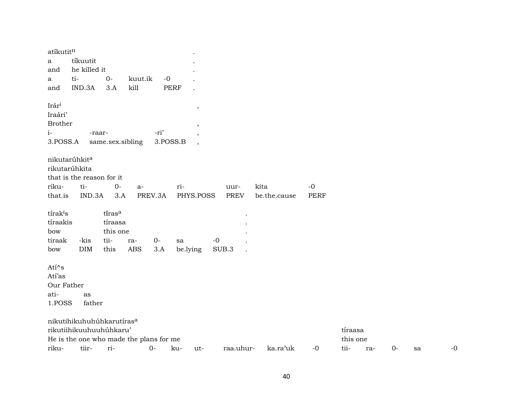| atíkutitn<br>a                                                     | tíkuutit                                                                                                    |                                               |                   |                  |                                                    |               |              |      |                     |       |    |    |
|--------------------------------------------------------------------|-------------------------------------------------------------------------------------------------------------|-----------------------------------------------|-------------------|------------------|----------------------------------------------------|---------------|--------------|------|---------------------|-------|----|----|
| and                                                                | he killed it                                                                                                |                                               |                   |                  |                                                    |               |              |      |                     |       |    |    |
| a                                                                  | ti-                                                                                                         | $0-$                                          | kuut.ik           | $-0$             |                                                    |               |              |      |                     |       |    |    |
| and                                                                | IND.3A                                                                                                      | 3.A                                           | kill              |                  | <b>PERF</b>                                        |               |              |      |                     |       |    |    |
| Irár <sup>i</sup><br>Iraári'<br><b>Brother</b><br>$i-$<br>3.POSS.A | -raar-                                                                                                      | same.sex.sibling                              |                   | -ri'<br>3.POSS.B | $\, ,$<br>$\cdot$<br>,<br>$\overline{\phantom{a}}$ |               |              |      |                     |       |    |    |
| nikutarúhkit <sup>a</sup><br>rikutarúhkita                         | that is the reason for it                                                                                   |                                               |                   |                  |                                                    |               |              |      |                     |       |    |    |
| riku-                                                              | ti-                                                                                                         | $O -$                                         | $a-$              |                  | ri-                                                | uur-          | kita         | $-0$ |                     |       |    |    |
| that.is                                                            | IND.3A                                                                                                      | 3.A                                           |                   | PREV.3A          | PHYS.POSS                                          | <b>PREV</b>   | be.the.cause | PERF |                     |       |    |    |
| tírak <sup>i</sup> s<br>tíraakis<br>bow<br>tiraak<br>bow           | -kis<br><b>DIM</b>                                                                                          | tirasa<br>tíraasa<br>this one<br>tii-<br>this | ra-<br><b>ABS</b> | $0-$<br>3.A      | sa<br>be.lying                                     | $-0$<br>SUB.3 |              |      |                     |       |    |    |
| $Ati^s$<br>Atí'as<br>Our Father                                    |                                                                                                             |                                               |                   |                  |                                                    |               |              |      |                     |       |    |    |
| ati-                                                               | as                                                                                                          |                                               |                   |                  |                                                    |               |              |      |                     |       |    |    |
| 1.POSS                                                             | father                                                                                                      |                                               |                   |                  |                                                    |               |              |      |                     |       |    |    |
|                                                                    | nikutihikuhuhúhkarutíras <sup>a</sup><br>rikutiihikuuhuuhuhkaru'<br>He is the one who made the plans for me |                                               |                   |                  |                                                    |               |              |      | tíraasa<br>this one |       |    |    |
| riku-                                                              | tiir-                                                                                                       | ri-                                           |                   | $0-$             | ku-<br>$ut-$                                       | raa.uhur-     | ka.ra'uk     | $-0$ | tii-<br>ra-         | $0 -$ | sa | -0 |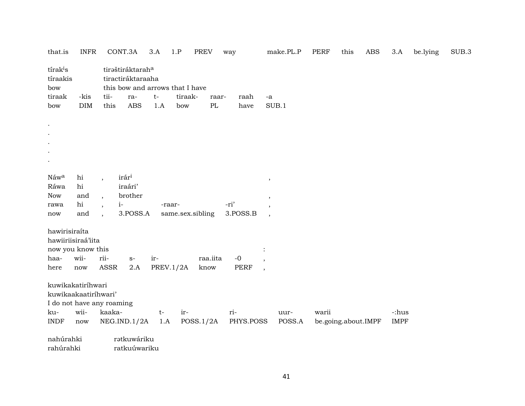| that.is                                                          | <b>INFR</b>          |                | CONT.3A                                                                  | 3.A         | 1.P              | <b>PREV</b>      | way         |                          | make.PL.P      | <b>PERF</b> | this                | ABS | 3.A         | be.lying | SUB.3 |
|------------------------------------------------------------------|----------------------|----------------|--------------------------------------------------------------------------|-------------|------------------|------------------|-------------|--------------------------|----------------|-------------|---------------------|-----|-------------|----------|-------|
| tírak <sup>i</sup> s<br>tíraakis<br>bow                          |                      |                | tiraštiráktaraha<br>tiractiráktaraaha<br>this bow and arrows that I have |             |                  |                  |             |                          |                |             |                     |     |             |          |       |
| tiraak                                                           | -kis                 | tii-           | ra-                                                                      | $t-$        | tiraak-          | raar-            | raah        | -a                       |                |             |                     |     |             |          |       |
| bow                                                              | DIM                  | this           | <b>ABS</b>                                                               | 1.A         | bow              | PL               | have        |                          | SUB.1          |             |                     |     |             |          |       |
| $\bullet$<br>$\bullet$<br>$\bullet$<br>$\bullet$                 |                      |                |                                                                          |             |                  |                  |             |                          |                |             |                     |     |             |          |       |
| Náwa                                                             | hi                   |                | irári                                                                    |             |                  |                  |             | $^\mathrm{^{^\circ}}$    |                |             |                     |     |             |          |       |
| Ráwa                                                             | hi                   |                | iraári'                                                                  |             |                  |                  |             |                          |                |             |                     |     |             |          |       |
| Now                                                              | and                  | $\overline{ }$ | brother                                                                  |             |                  |                  |             | ,                        |                |             |                     |     |             |          |       |
| rawa                                                             | hi                   |                | $i-$                                                                     |             | -raar-           |                  | -ri'        |                          |                |             |                     |     |             |          |       |
| now                                                              | and                  |                | 3.POSS.A                                                                 |             |                  | same.sex.sibling | 3.POSS.B    |                          |                |             |                     |     |             |          |       |
| hawirisiraíta<br>hawiiriisiraá'iita<br>now you know this<br>haa- | wii-                 | rii-           | $\mathbf{S}^-$                                                           | ir-         |                  | raa.iita         | $-0$        |                          |                |             |                     |     |             |          |       |
| here                                                             | $\operatorname{now}$ | ASSR           | 2.A                                                                      |             | <b>PREV.1/2A</b> | know             | <b>PERF</b> |                          |                |             |                     |     |             |          |       |
|                                                                  |                      |                |                                                                          |             |                  |                  |             | $\overline{\phantom{a}}$ |                |             |                     |     |             |          |       |
| kuwikakatiríhwari<br>kuwikaakaatirihwari'                        |                      |                |                                                                          |             |                  |                  |             |                          |                |             |                     |     |             |          |       |
|                                                                  |                      |                |                                                                          |             |                  |                  |             |                          |                |             |                     |     |             |          |       |
| I do not have any roaming<br>ku-                                 | wii-                 | kaaka-         |                                                                          |             | ir-              |                  | ri-         |                          |                | warii       |                     |     | -:hus       |          |       |
| <b>INDF</b>                                                      | now                  |                | NEG.IND.1/2A                                                             | $t-$<br>1.A |                  | POSS.1/2A        | PHYS.POSS   |                          | uur-<br>POSS.A |             | be.going.about.IMPF |     | <b>IMPF</b> |          |       |
|                                                                  |                      |                |                                                                          |             |                  |                  |             |                          |                |             |                     |     |             |          |       |
| nahúrahki                                                        |                      |                | rətkuwáriku                                                              |             |                  |                  |             |                          |                |             |                     |     |             |          |       |
| rahúrahki                                                        |                      |                | ratkuúwariku                                                             |             |                  |                  |             |                          |                |             |                     |     |             |          |       |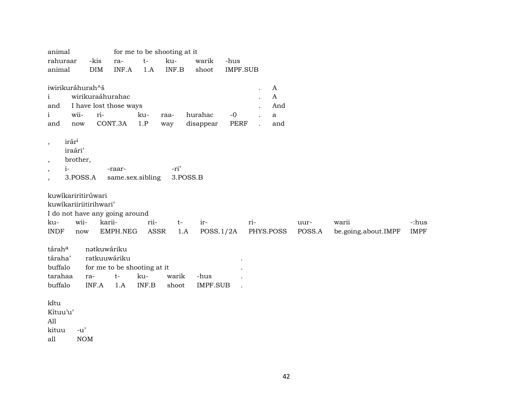| animal                                                                                                                                                                                                                               |                                                                            |                                        |              | for me to be shooting at it     |                         |                         |     |                                                     |                |                              |                      |
|--------------------------------------------------------------------------------------------------------------------------------------------------------------------------------------------------------------------------------------|----------------------------------------------------------------------------|----------------------------------------|--------------|---------------------------------|-------------------------|-------------------------|-----|-----------------------------------------------------|----------------|------------------------------|----------------------|
| rahuraar<br>animal                                                                                                                                                                                                                   | -kis<br><b>DIM</b>                                                         | ra-<br>INF.A                           | $t-$<br>1.A  | ku-<br>INF.B                    | warik<br>shoot          | -hus<br><b>IMPF.SUB</b> |     |                                                     |                |                              |                      |
| iwirikuráhurah^š<br>$\mathbf{i}$<br>and<br>wii-<br>$\mathbf{i}$<br>and<br>now                                                                                                                                                        | wirikuraáhurahac<br>I have lost those ways<br>ri-                          | CONT.3A                                | ku-<br>1.P   | raa-<br>way                     | hurahac<br>disappear    | $-0$<br>PERF            |     | $\boldsymbol{A}$<br>A<br>And<br>$\mathbf{a}$<br>and |                |                              |                      |
| irári<br>$\cdot$<br>iraári'<br>brother,<br>$\cdot$<br>$i-$<br>$\cdot$<br>3.POSS.A<br>$\cdot$<br>kuwikariritirúwari<br>kuwikariiriitirihwari'<br>I do not have any going around<br>wii-<br>ku-<br><b>INDF</b><br>$\operatorname{now}$ | karii-                                                                     | -raar-<br>same.sex.sibling<br>EMPH.NEG | rii-<br>ASSR | -ri'<br>3.POSS.B<br>$t-$<br>1.A | ir-<br>POSS.1/2A        |                         | ri- | PHYS.POSS                                           | uur-<br>POSS.A | warii<br>be.going.about.IMPF | -:hus<br><b>IMPF</b> |
| táraha<br>táraha'<br>buffalo<br>tarahaa<br>buffalo<br>kītu<br>Kítuu'u'<br>All<br>kituu<br>$-u'$                                                                                                                                      | nətkuwáriku<br>ratkuuwáriku<br>for me to be shooting at it<br>ra-<br>INF.A | $t-$<br>1.A                            | ku-<br>INF.B | warik<br>shoot                  | -hus<br><b>IMPF.SUB</b> |                         |     |                                                     |                |                              |                      |

all NOM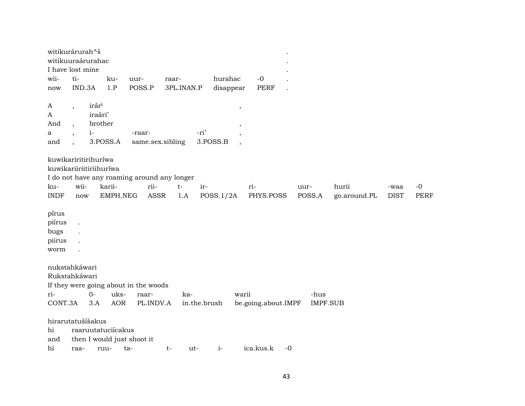| witikurárurah^š<br>witikuuraárurahac<br>I have lost mine              |                          |                   |                            |                                                                    |       |                     |           |                              |      |                         |                       |                     |                     |
|-----------------------------------------------------------------------|--------------------------|-------------------|----------------------------|--------------------------------------------------------------------|-------|---------------------|-----------|------------------------------|------|-------------------------|-----------------------|---------------------|---------------------|
| wii-                                                                  | ti-                      |                   | ku-                        | uur-                                                               | raar- |                     | hurahac   | $-0$                         |      |                         |                       |                     |                     |
| now                                                                   | IND.3A                   |                   | 1.P                        | POSS.P                                                             |       | 3PL.INAN.P          | disappear | <b>PERF</b>                  |      |                         |                       |                     |                     |
|                                                                       |                          |                   |                            |                                                                    |       |                     |           |                              |      |                         |                       |                     |                     |
| A                                                                     | $\overline{\phantom{a}}$ | irár <sup>i</sup> |                            |                                                                    |       |                     |           | $\,$                         |      |                         |                       |                     |                     |
| A                                                                     |                          | iraári'           |                            |                                                                    |       |                     |           |                              |      |                         |                       |                     |                     |
| And                                                                   |                          | brother           |                            |                                                                    |       |                     |           | $\, ,$                       |      |                         |                       |                     |                     |
| a                                                                     |                          | $i-$              |                            | -raar-                                                             |       | -ri'                |           | $\cdot$                      |      |                         |                       |                     |                     |
| and                                                                   |                          |                   | 3.POSS.A                   | same.sex.sibling                                                   |       |                     | 3.POSS.B  | $\overline{\phantom{a}}$     |      |                         |                       |                     |                     |
| kuwikariritirihuríwa<br>kuwikariiriitiriihuríwa<br>ku-<br><b>INDF</b> | wii-<br>now              |                   | karii-<br>EMPH.NEG         | I do not have any roaming around any longer<br>rii-<br><b>ASSR</b> | $t-$  | ir-<br>1.A          | POSS.1/2A | ri-<br>PHYS.POSS             |      | uur-<br>POSS.A          | hurii<br>go.around.PL | -waa<br><b>DIST</b> | $-0$<br><b>PERF</b> |
| pírus<br>piírus<br>bugs<br>piirus<br>worm                             | $\ddot{\phantom{a}}$     |                   |                            |                                                                    |       |                     |           |                              |      |                         |                       |                     |                     |
| nukstahkáwari<br>Rukstahkáwari<br>ri-<br>CONT.3A                      |                          | $O -$<br>3.A      | uks-<br><b>AOR</b>         | If they were going about in the woods<br>raar-<br>PL.INDV.A        |       | ka-<br>in.the.brush |           | warii<br>be.going.about.IMPF |      | -hus<br><b>IMPF.SUB</b> |                       |                     |                     |
| hirarutatušíšakus<br>hi<br>and<br>hi                                  | raa-                     |                   | raaruutatuciícakus<br>ruu- | then I would just shoot it<br>ta-                                  | t-    | ut-                 | $i-$      | ica.kus.k                    | $-0$ |                         |                       |                     |                     |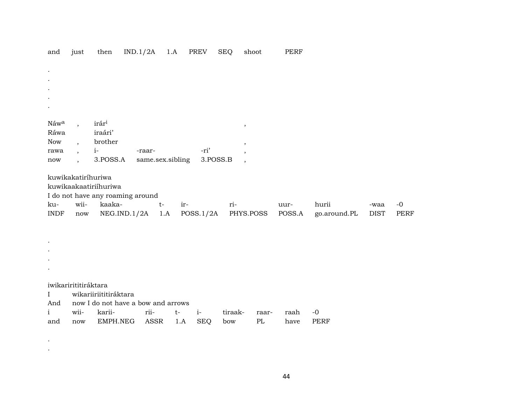| and          | just                     | then                             | IND.1/2A |                                    | 1.A  | PREV       | <b>SEQ</b>    | shoot     | <b>PERF</b> |              |             |      |
|--------------|--------------------------|----------------------------------|----------|------------------------------------|------|------------|---------------|-----------|-------------|--------------|-------------|------|
|              |                          |                                  |          |                                    |      |            |               |           |             |              |             |      |
| $\bullet$    |                          |                                  |          |                                    |      |            |               |           |             |              |             |      |
|              |                          |                                  |          |                                    |      |            |               |           |             |              |             |      |
|              |                          |                                  |          |                                    |      |            |               |           |             |              |             |      |
|              |                          |                                  |          |                                    |      |            |               |           |             |              |             |      |
|              |                          |                                  |          |                                    |      |            |               |           |             |              |             |      |
| Náwa         |                          | irár <sup>i</sup>                |          |                                    |      |            | $^\mathrm{,}$ |           |             |              |             |      |
| Ráwa         |                          | iraári'                          |          |                                    |      |            |               |           |             |              |             |      |
| <b>Now</b>   | $\overline{\phantom{a}}$ | brother                          |          |                                    |      |            | ,             |           |             |              |             |      |
| rawa         | $\overline{ }$ ,         | $i-$                             |          | -raar-                             |      | -ri'       |               |           |             |              |             |      |
| now          | $\ddot{\phantom{0}}$     | 3.POSS.A                         |          | same.sex.sibling                   |      | 3.POSS.B   |               |           |             |              |             |      |
|              | kuwikakatirihuriwa       |                                  |          |                                    |      |            |               |           |             |              |             |      |
|              |                          | kuwikaakaatiriihuriwa            |          |                                    |      |            |               |           |             |              |             |      |
|              |                          | I do not have any roaming around |          |                                    |      |            |               |           |             |              |             |      |
| ku-          | wii-                     | kaaka-                           |          | $t-$                               | ir-  |            | ri-           |           | uur-        | hurii        | -waa        | $-0$ |
| <b>INDF</b>  | $\operatorname{now}$     | NEG.ID.1/2A                      |          | 1.A                                |      | POSS.1/2A  |               | PHYS.POSS | POSS.A      | go.around.PL | <b>DIST</b> | PERF |
|              |                          |                                  |          |                                    |      |            |               |           |             |              |             |      |
|              |                          |                                  |          |                                    |      |            |               |           |             |              |             |      |
|              |                          |                                  |          |                                    |      |            |               |           |             |              |             |      |
|              |                          |                                  |          |                                    |      |            |               |           |             |              |             |      |
|              |                          |                                  |          |                                    |      |            |               |           |             |              |             |      |
|              |                          |                                  |          |                                    |      |            |               |           |             |              |             |      |
|              | iwikarirititiráktara     |                                  |          |                                    |      |            |               |           |             |              |             |      |
| I            |                          | wikariiriititiráktara            |          |                                    |      |            |               |           |             |              |             |      |
| And          |                          |                                  |          | now I do not have a bow and arrows |      |            |               |           |             |              |             |      |
| $\mathbf{i}$ | wii-                     | karii-                           |          | rii-                               | $t-$ | $i-$       | tiraak-       | raar-     | raah        | $-0$         |             |      |
| and          | now                      | EMPH.NEG                         |          | ASSR                               | 1.A  | <b>SEQ</b> | bow           | PL        | have        | PERF         |             |      |
|              |                          |                                  |          |                                    |      |            |               |           |             |              |             |      |

.

.

44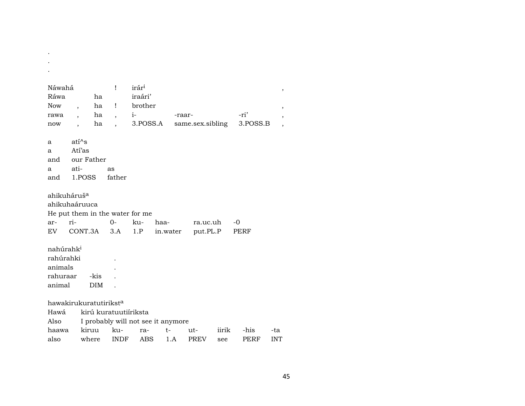| Náwahá                |                        |            | Ţ                                  | irár <sup>i</sup> |          |        |                  |       |             |                               |
|-----------------------|------------------------|------------|------------------------------------|-------------------|----------|--------|------------------|-------|-------------|-------------------------------|
| Ráwa                  |                        | ha         |                                    | iraári'           |          |        |                  |       |             | $^\mathrm{^\mathrm{o}}$       |
| <b>Now</b>            | $\ddot{\phantom{0}}$   | ha         | Ţ                                  | brother           |          |        |                  |       |             |                               |
| rawa                  |                        | ha         | $\overline{\phantom{a}}$           | $i$ - $\sim$      |          | -raar- |                  |       | -ri'        | $\, ,$                        |
| now                   |                        | ha         |                                    | 3.POSS.A          |          |        | same.sex.sibling |       | 3.POSS.B    | ,<br>$\overline{\phantom{a}}$ |
|                       |                        |            |                                    |                   |          |        |                  |       |             |                               |
| a                     | ati <sup>^</sup> s     |            |                                    |                   |          |        |                  |       |             |                               |
| a                     | Atí'as                 |            |                                    |                   |          |        |                  |       |             |                               |
| and                   | our Father             |            |                                    |                   |          |        |                  |       |             |                               |
| a                     | ati-                   |            | as                                 |                   |          |        |                  |       |             |                               |
| and                   | 1.POSS                 |            | father                             |                   |          |        |                  |       |             |                               |
|                       | ahikuhaáruuca          |            | He put them in the water for me    |                   |          |        |                  |       |             |                               |
| ar-                   | ri-                    |            | $O -$                              | ku-               | haa-     |        | ra.uc.uh         |       | $-0$        |                               |
| EV.                   | CONT.3A                |            | 3.A                                | 1.P               | in.water |        | put.PL.P         |       | PERF        |                               |
| nahúrahk <sup>i</sup> |                        |            |                                    |                   |          |        |                  |       |             |                               |
| rahúrahki             |                        |            |                                    |                   |          |        |                  |       |             |                               |
| animals               |                        |            |                                    |                   |          |        |                  |       |             |                               |
| rahuraar              |                        | -kis       |                                    |                   |          |        |                  |       |             |                               |
| animal                |                        | <b>DIM</b> |                                    |                   |          |        |                  |       |             |                               |
|                       |                        |            |                                    |                   |          |        |                  |       |             |                               |
|                       | hawakirukuratutiriksta |            |                                    |                   |          |        |                  |       |             |                               |
| Hawá                  |                        |            | kirú kuratuutiíriksta              |                   |          |        |                  |       |             |                               |
| Also                  |                        |            | I probably will not see it anymore |                   |          |        |                  |       |             |                               |
| haawa                 |                        | kiruu      | ku-                                | ra-               | $t-$     |        | ut-              | iirik | -his        | -ta                           |
| also                  |                        | where      | <b>INDF</b>                        | <b>ABS</b>        |          | 1.A    | <b>PREV</b>      | see   | <b>PERF</b> | <b>INT</b>                    |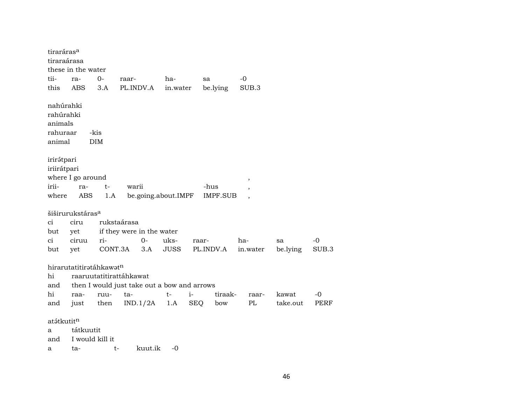| tiraráras <sup>a</sup>                                  |                                             |                    |                                                                               |             |            |                 |                          |          |       |
|---------------------------------------------------------|---------------------------------------------|--------------------|-------------------------------------------------------------------------------|-------------|------------|-----------------|--------------------------|----------|-------|
| tiraraárasa                                             |                                             |                    |                                                                               |             |            |                 |                          |          |       |
|                                                         | these in the water                          |                    |                                                                               |             |            |                 |                          |          |       |
| tii-                                                    | ra-                                         | $0-$               | raar-                                                                         | ha-         | sa         |                 | -0                       |          |       |
| this                                                    | ABS                                         | 3.A                | PL.INDV.A                                                                     | in.water    |            | be.lying        | SUB.3                    |          |       |
| nahúrahki<br>rahúrahki<br>animals<br>rahuraar<br>animal |                                             | -kis<br><b>DIM</b> |                                                                               |             |            |                 |                          |          |       |
| irirətpari                                              |                                             |                    |                                                                               |             |            |                 |                          |          |       |
| iriirátpari                                             |                                             |                    |                                                                               |             |            |                 |                          |          |       |
|                                                         | where I go around                           |                    |                                                                               |             |            |                 | $\overline{\phantom{a}}$ |          |       |
| irii-                                                   | ra-                                         | t-                 | warii                                                                         |             | -hus       |                 |                          |          |       |
| where                                                   | ABS                                         | 1.A                | be.going.about.IMPF                                                           |             |            | <b>IMPF.SUB</b> |                          |          |       |
|                                                         |                                             |                    |                                                                               |             |            |                 |                          |          |       |
|                                                         | šiširurukstáras <sup>a</sup>                |                    |                                                                               |             |            |                 |                          |          |       |
| ci                                                      | ciru                                        |                    | rukstaárasa                                                                   |             |            |                 |                          |          |       |
| but                                                     | yet                                         |                    | if they were in the water                                                     |             |            |                 |                          |          |       |
| ci                                                      | ciruu                                       | ri-                | $0-$                                                                          | uks-        | raar-      |                 | ha-                      | sa       | $-0$  |
| but                                                     | yet                                         | CONT.3A            | 3.A                                                                           | <b>JUSS</b> |            | PL.INDV.A       | in.water                 | be.lying | SUB.3 |
| hi<br>and<br>hi                                         | hirarutatitirətáhkawət <sup>n</sup><br>raa- | ruu-               | raaruutatitirattáhkawat<br>then I would just take out a bow and arrows<br>ta- | $t-$        | $i-$       | tiraak-         | raar-                    | kawat    | -0    |
| and                                                     | just                                        | then               | $IND.1/2A$ 1.A                                                                |             | <b>SEQ</b> | bow             | PL                       | take.out | PERF  |
| atátkutit <sup>n</sup><br>a<br>and<br>а                 | tátkuutit<br>I would kill it<br>ta-         | t-                 | kuut.ik                                                                       | $-0$        |            |                 |                          |          |       |
|                                                         |                                             |                    |                                                                               |             |            |                 |                          |          |       |